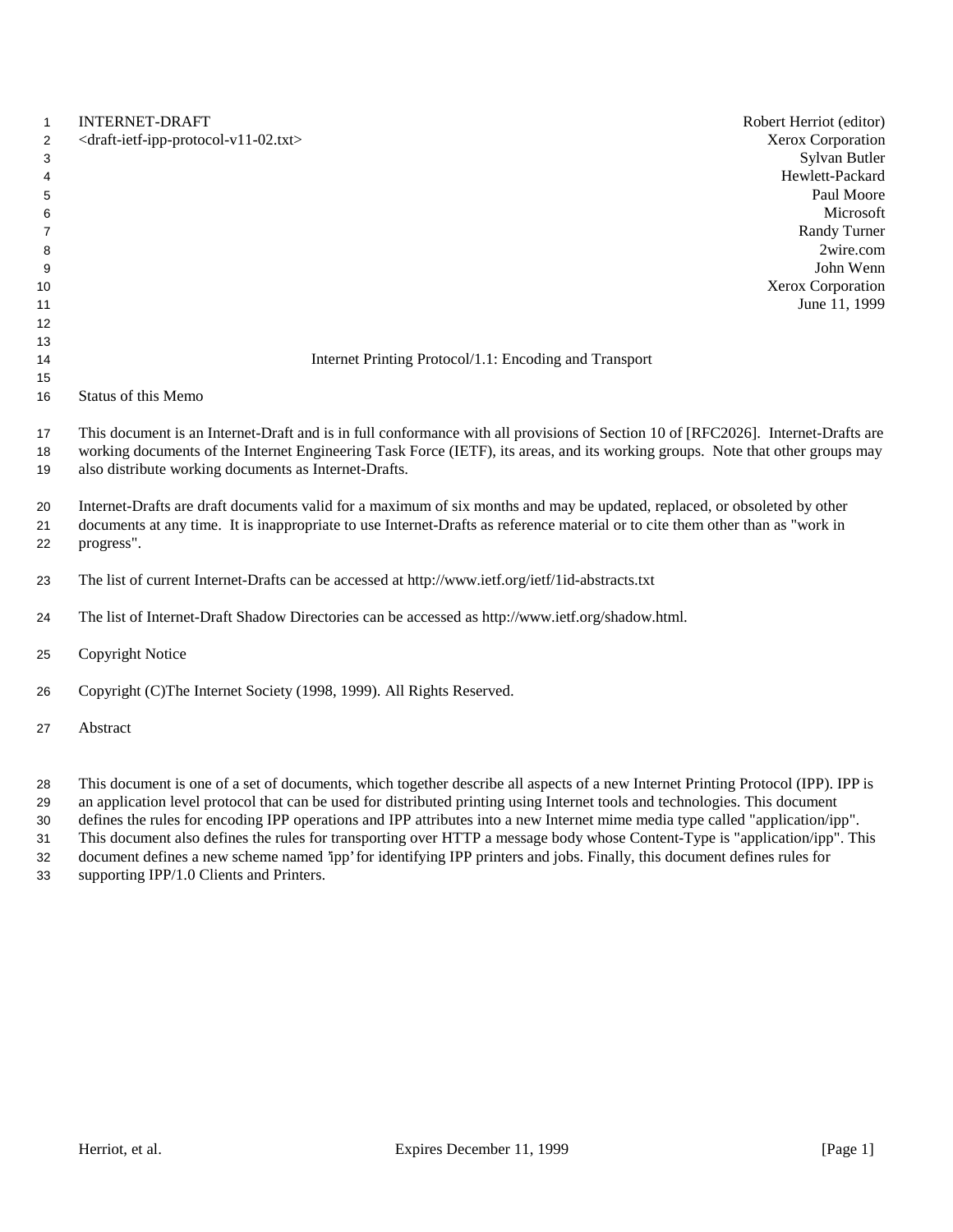| $\mathbf{1}$   | <b>INTERNET-DRAFT</b>                                                                                                                                                                                                                                                                                                        | Robert Herriot (editor) |
|----------------|------------------------------------------------------------------------------------------------------------------------------------------------------------------------------------------------------------------------------------------------------------------------------------------------------------------------------|-------------------------|
| 2              | <draft-ietf-ipp-protocol-v11-02.txt></draft-ietf-ipp-protocol-v11-02.txt>                                                                                                                                                                                                                                                    | Xerox Corporation       |
| 3              |                                                                                                                                                                                                                                                                                                                              | Sylvan Butler           |
| 4              |                                                                                                                                                                                                                                                                                                                              | Hewlett-Packard         |
| 5              |                                                                                                                                                                                                                                                                                                                              | Paul Moore              |
| 6              |                                                                                                                                                                                                                                                                                                                              | Microsoft               |
| $\overline{7}$ |                                                                                                                                                                                                                                                                                                                              | Randy Turner            |
| 8              |                                                                                                                                                                                                                                                                                                                              | 2wire.com               |
| 9              |                                                                                                                                                                                                                                                                                                                              | John Wenn               |
| 10             |                                                                                                                                                                                                                                                                                                                              | Xerox Corporation       |
| 11             |                                                                                                                                                                                                                                                                                                                              | June 11, 1999           |
| 12             |                                                                                                                                                                                                                                                                                                                              |                         |
| 13             |                                                                                                                                                                                                                                                                                                                              |                         |
| 14             | Internet Printing Protocol/1.1: Encoding and Transport                                                                                                                                                                                                                                                                       |                         |
| 15             |                                                                                                                                                                                                                                                                                                                              |                         |
| 16             | <b>Status of this Memo</b>                                                                                                                                                                                                                                                                                                   |                         |
| 17<br>18<br>19 | This document is an Internet-Draft and is in full conformance with all provisions of Section 10 of [RFC2026]. Internet-Drafts are<br>working documents of the Internet Engineering Task Force (IETF), its areas, and its working groups. Note that other groups may<br>also distribute working documents as Internet-Drafts. |                         |
| 20<br>21<br>22 | Internet-Drafts are draft documents valid for a maximum of six months and may be updated, replaced, or obsoleted by other<br>documents at any time. It is inappropriate to use Internet-Drafts as reference material or to cite them other than as "work in<br>progress".                                                    |                         |
| 23             | The list of current Internet-Drafts can be accessed at http://www.ietf.org/ietf/1id-abstracts.txt                                                                                                                                                                                                                            |                         |
| 24             | The list of Internet-Draft Shadow Directories can be accessed as http://www.ietf.org/shadow.html.                                                                                                                                                                                                                            |                         |
| 25             | <b>Copyright Notice</b>                                                                                                                                                                                                                                                                                                      |                         |
| 26             | Copyright (C)The Internet Society (1998, 1999). All Rights Reserved.                                                                                                                                                                                                                                                         |                         |
| 27             | Abstract                                                                                                                                                                                                                                                                                                                     |                         |
|                |                                                                                                                                                                                                                                                                                                                              |                         |

 This document is one of a set of documents, which together describe all aspects of a new Internet Printing Protocol (IPP). IPP is an application level protocol that can be used for distributed printing using Internet tools and technologies. This document

defines the rules for encoding IPP operations and IPP attributes into a new Internet mime media type called "application/ipp".

This document also defines the rules for transporting over HTTP a message body whose Content-Type is "application/ipp". This

 document defines a new scheme named 'ipp' for identifying IPP printers and jobs. Finally, this document defines rules for supporting IPP/1.0 Clients and Printers.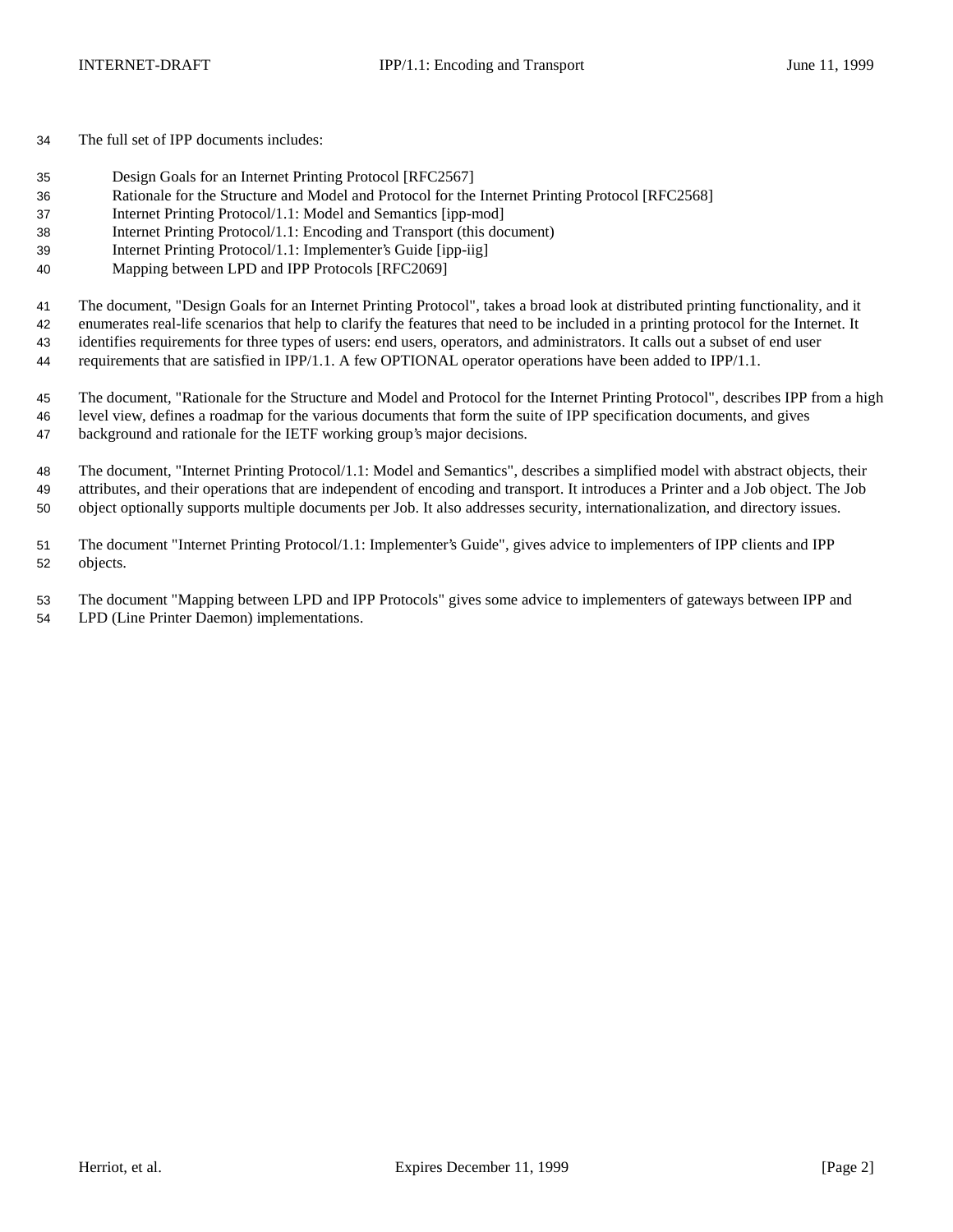The full set of IPP documents includes:

- Design Goals for an Internet Printing Protocol [RFC2567]
- Rationale for the Structure and Model and Protocol for the Internet Printing Protocol [RFC2568]
- Internet Printing Protocol/1.1: Model and Semantics [ipp-mod]
- Internet Printing Protocol/1.1: Encoding and Transport (this document)
- Internet Printing Protocol/1.1: Implementer's Guide [ipp-iig]
- Mapping between LPD and IPP Protocols [RFC2069]

The document, "Design Goals for an Internet Printing Protocol", takes a broad look at distributed printing functionality, and it

enumerates real-life scenarios that help to clarify the features that need to be included in a printing protocol for the Internet. It

identifies requirements for three types of users: end users, operators, and administrators. It calls out a subset of end user

requirements that are satisfied in IPP/1.1. A few OPTIONAL operator operations have been added to IPP/1.1.

 The document, "Rationale for the Structure and Model and Protocol for the Internet Printing Protocol", describes IPP from a high level view, defines a roadmap for the various documents that form the suite of IPP specification documents, and gives background and rationale for the IETF working group's major decisions.

 The document, "Internet Printing Protocol/1.1: Model and Semantics", describes a simplified model with abstract objects, their attributes, and their operations that are independent of encoding and transport. It introduces a Printer and a Job object. The Job object optionally supports multiple documents per Job. It also addresses security, internationalization, and directory issues.

 The document "Internet Printing Protocol/1.1: Implementer's Guide", gives advice to implementers of IPP clients and IPP objects.

 The document "Mapping between LPD and IPP Protocols" gives some advice to implementers of gateways between IPP and LPD (Line Printer Daemon) implementations.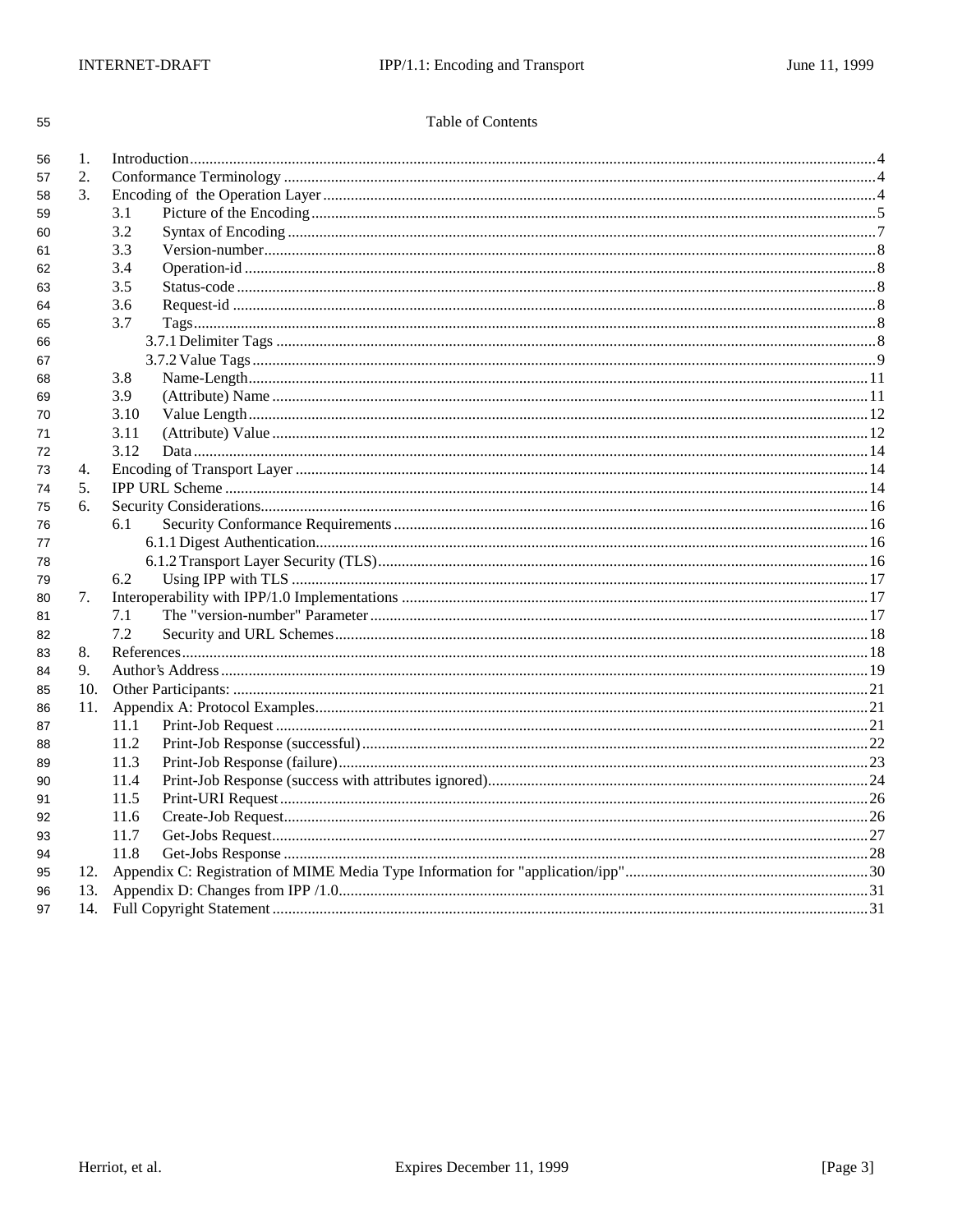|  | Table of Contents |
|--|-------------------|
|--|-------------------|

| 56 | 1.  |      |  |  |
|----|-----|------|--|--|
| 57 | 2.  |      |  |  |
| 58 | 3.  |      |  |  |
| 59 |     | 3.1  |  |  |
| 60 |     | 3.2  |  |  |
| 61 |     | 3.3  |  |  |
| 62 |     | 3.4  |  |  |
| 63 |     | 3.5  |  |  |
| 64 |     | 3.6  |  |  |
| 65 |     | 3.7  |  |  |
| 66 |     |      |  |  |
| 67 |     |      |  |  |
| 68 |     | 3.8  |  |  |
| 69 |     | 3.9  |  |  |
| 70 |     | 3.10 |  |  |
| 71 |     | 3.11 |  |  |
| 72 |     | 3.12 |  |  |
| 73 | 4.  |      |  |  |
| 74 | 5.  |      |  |  |
| 75 | 6.  |      |  |  |
| 76 |     | 6.1  |  |  |
| 77 |     |      |  |  |
| 78 |     |      |  |  |
| 79 |     | 6.2  |  |  |
| 80 | 7.  |      |  |  |
| 81 |     | 7.1  |  |  |
| 82 |     | 7.2  |  |  |
| 83 | 8.  |      |  |  |
| 84 | 9.  |      |  |  |
| 85 | 10. |      |  |  |
| 86 | 11. |      |  |  |
| 87 |     | 11.1 |  |  |
| 88 |     | 11.2 |  |  |
| 89 |     | 11.3 |  |  |
| 90 |     | 11.4 |  |  |
| 91 |     | 11.5 |  |  |
| 92 |     | 11.6 |  |  |
| 93 |     | 11.7 |  |  |
| 94 |     | 11.8 |  |  |
| 95 | 12. |      |  |  |
| 96 |     |      |  |  |
| 97 |     |      |  |  |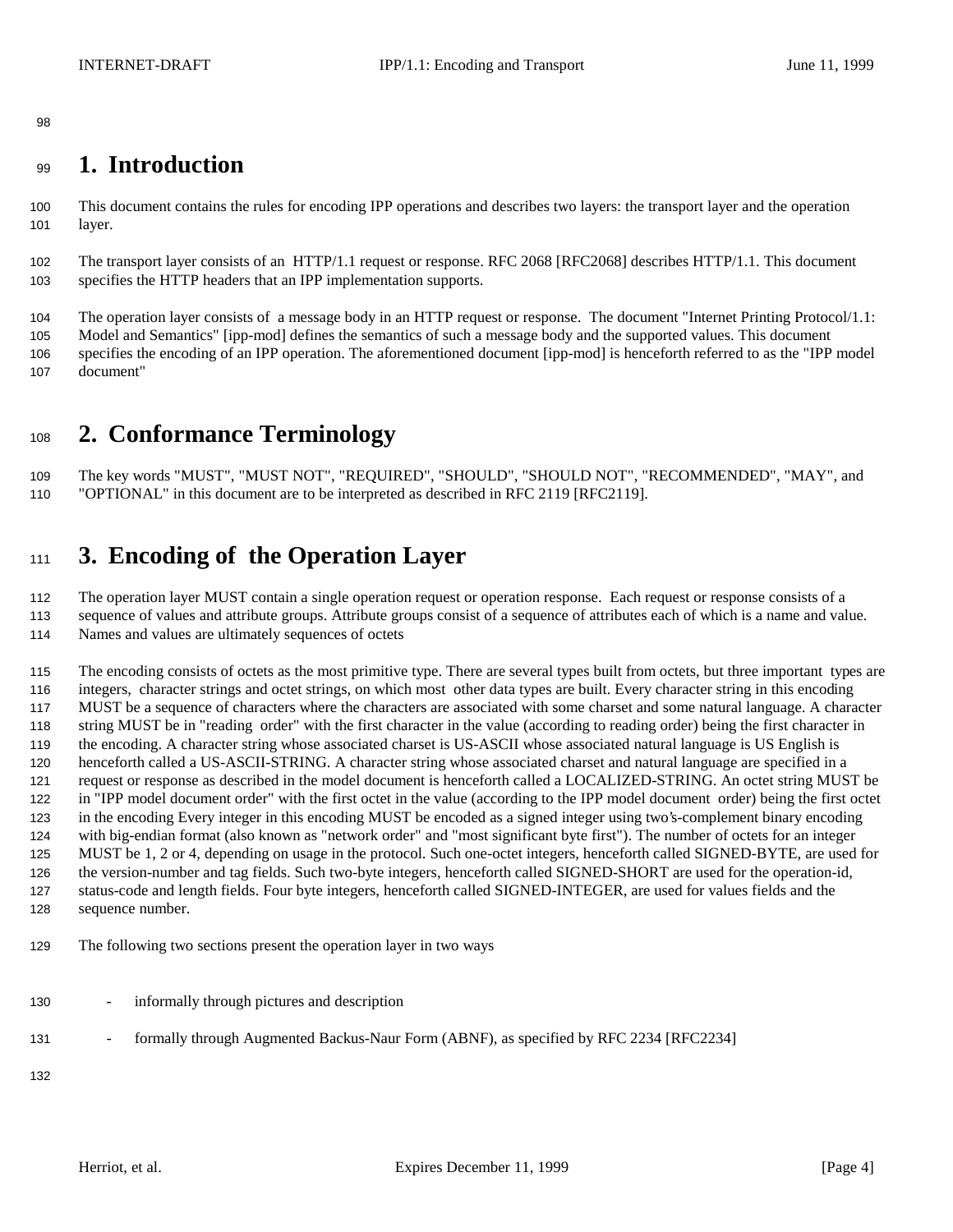# **1. Introduction**

 This document contains the rules for encoding IPP operations and describes two layers: the transport layer and the operation layer.

 The transport layer consists of an HTTP/1.1 request or response. RFC 2068 [RFC2068] describes HTTP/1.1. This document specifies the HTTP headers that an IPP implementation supports.

 The operation layer consists of a message body in an HTTP request or response. The document "Internet Printing Protocol/1.1: Model and Semantics" [ipp-mod] defines the semantics of such a message body and the supported values. This document specifies the encoding of an IPP operation. The aforementioned document [ipp-mod] is henceforth referred to as the "IPP model document"

# **2. Conformance Terminology**

 The key words "MUST", "MUST NOT", "REQUIRED", "SHOULD", "SHOULD NOT", "RECOMMENDED", "MAY", and "OPTIONAL" in this document are to be interpreted as described in RFC 2119 [RFC2119].

# **3. Encoding of the Operation Layer**

 The operation layer MUST contain a single operation request or operation response. Each request or response consists of a sequence of values and attribute groups. Attribute groups consist of a sequence of attributes each of which is a name and value. Names and values are ultimately sequences of octets

 The encoding consists of octets as the most primitive type. There are several types built from octets, but three important types are integers, character strings and octet strings, on which most other data types are built. Every character string in this encoding MUST be a sequence of characters where the characters are associated with some charset and some natural language. A character string MUST be in "reading order" with the first character in the value (according to reading order) being the first character in the encoding. A character string whose associated charset is US-ASCII whose associated natural language is US English is henceforth called a US-ASCII-STRING. A character string whose associated charset and natural language are specified in a request or response as described in the model document is henceforth called a LOCALIZED-STRING. An octet string MUST be in "IPP model document order" with the first octet in the value (according to the IPP model document order) being the first octet in the encoding Every integer in this encoding MUST be encoded as a signed integer using two's-complement binary encoding with big-endian format (also known as "network order" and "most significant byte first"). The number of octets for an integer MUST be 1, 2 or 4, depending on usage in the protocol. Such one-octet integers, henceforth called SIGNED-BYTE, are used for the version-number and tag fields. Such two-byte integers, henceforth called SIGNED-SHORT are used for the operation-id, status-code and length fields. Four byte integers, henceforth called SIGNED-INTEGER, are used for values fields and the sequence number.

- The following two sections present the operation layer in two ways
- informally through pictures and description
- 131 formally through Augmented Backus-Naur Form (ABNF), as specified by RFC 2234 [RFC2234]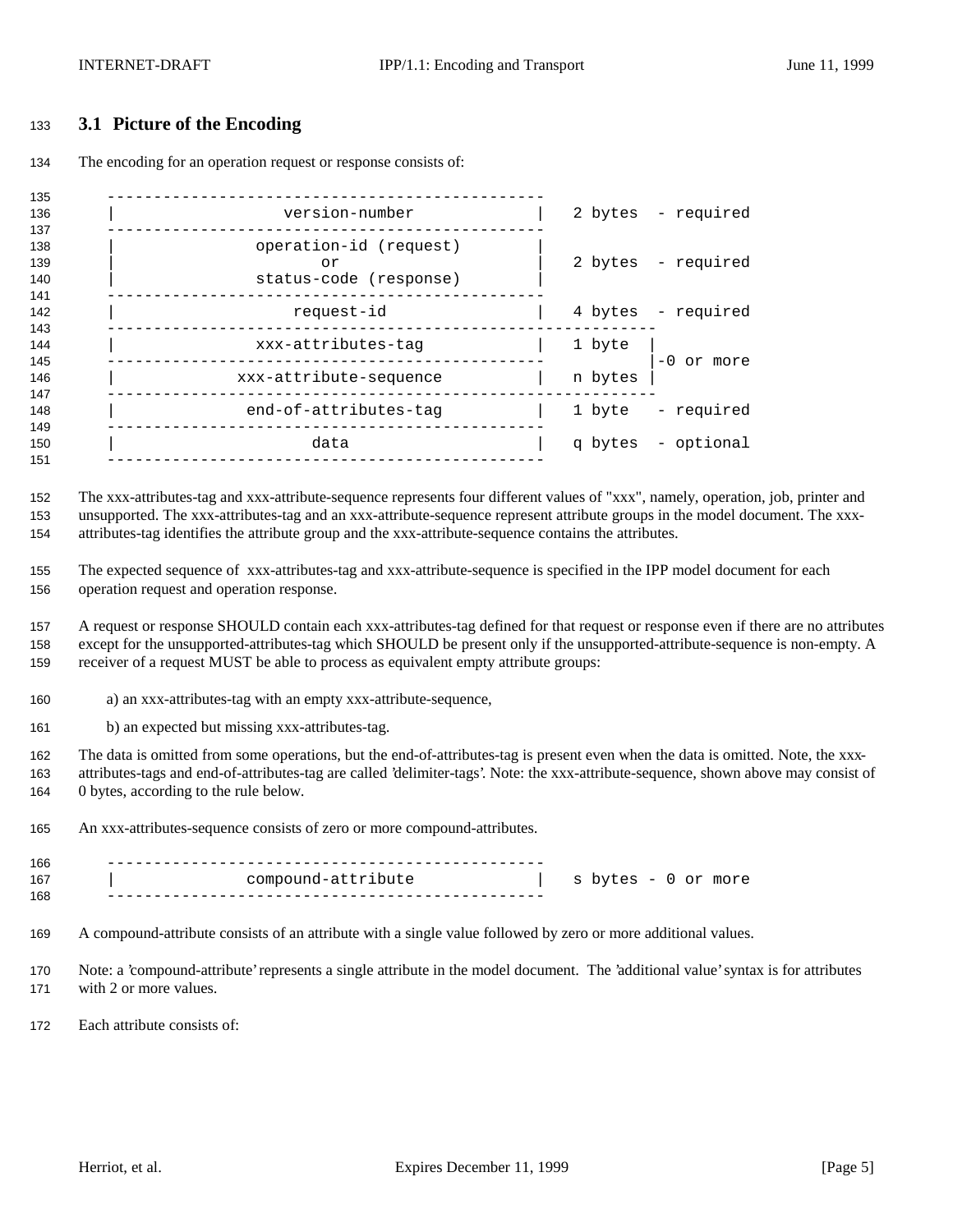## **3.1 Picture of the Encoding**

The encoding for an operation request or response consists of:

| 135                      |                                                        |         |                    |
|--------------------------|--------------------------------------------------------|---------|--------------------|
| 136                      | version-number                                         |         | 2 bytes - required |
| 137<br>138<br>139<br>140 | operation-id (request)<br>or<br>status-code (response) |         | 2 bytes - required |
| 141<br>142               | request-id                                             |         | 4 bytes - required |
| 143<br>144               | xxx-attributes-tag                                     | 1 byte  | $-0$ or more       |
| 145<br>146<br>147        | xxx-attribute-sequence                                 | n bytes |                    |
| 148<br>149               | end-of-attributes-tag                                  | 1 byte  | - required         |
| 150<br>151               | data                                                   |         | q bytes - optional |
|                          |                                                        |         |                    |

 The xxx-attributes-tag and xxx-attribute-sequence represents four different values of "xxx", namely, operation, job, printer and unsupported. The xxx-attributes-tag and an xxx-attribute-sequence represent attribute groups in the model document. The xxx-attributes-tag identifies the attribute group and the xxx-attribute-sequence contains the attributes.

 The expected sequence of xxx-attributes-tag and xxx-attribute-sequence is specified in the IPP model document for each operation request and operation response.

 A request or response SHOULD contain each xxx-attributes-tag defined for that request or response even if there are no attributes except for the unsupported-attributes-tag which SHOULD be present only if the unsupported-attribute-sequence is non-empty. A receiver of a request MUST be able to process as equivalent empty attribute groups:

a) an xxx-attributes-tag with an empty xxx-attribute-sequence,

b) an expected but missing xxx-attributes-tag.

 The data is omitted from some operations, but the end-of-attributes-tag is present even when the data is omitted. Note, the xxx- attributes-tags and end-of-attributes-tag are called 'delimiter-tags'. Note: the xxx-attribute-sequence, shown above may consist of 0 bytes, according to the rule below.

An xxx-attributes-sequence consists of zero or more compound-attributes.

 ----------------------------------------------- | compound-attribute | s bytes - 0 or more -----------------------------------------------

A compound-attribute consists of an attribute with a single value followed by zero or more additional values.

 Note: a 'compound-attribute' represents a single attribute in the model document. The 'additional value' syntax is for attributes with 2 or more values.

Each attribute consists of: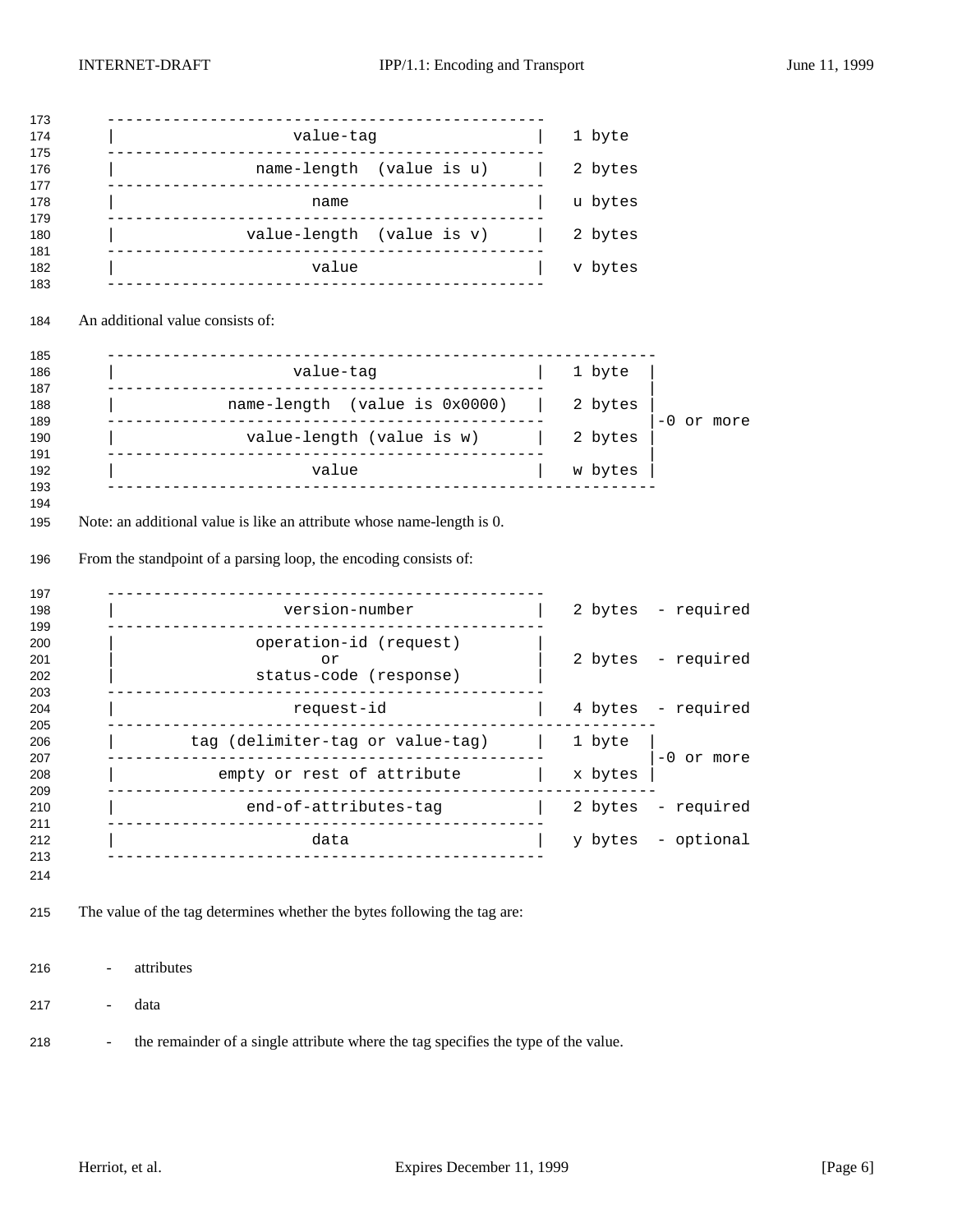| value-tag                                                                    | 1 byte                                                 |
|------------------------------------------------------------------------------|--------------------------------------------------------|
|                                                                              |                                                        |
| name-length (value is u)<br>_______________________________                  | 2 bytes                                                |
| name                                                                         | u bytes                                                |
| value-length (value is v)<br>__________________________________              | 2 bytes                                                |
| value                                                                        | v bytes                                                |
| An additional value consists of:                                             |                                                        |
| ----------------------------------<br>value-tag                              | 1 byte                                                 |
| name-length (value is 0x0000)                                                | 2 bytes                                                |
| . _ _ _ _ _ _ _ _ _ _ _ _ _<br>value-length (value is w)                     | -0 or more<br>2 bytes                                  |
| value                                                                        | w bytes                                                |
|                                                                              |                                                        |
| . _ _ _ _ _ _ _ _ _ _ _ _ _ _ _<br>. _ _ _ _ _ _ _ _ _ _ _<br>version-number | 2 bytes - required                                     |
| operation-id (request)<br>or                                                 | 2 bytes - required                                     |
| status-code (response)                                                       |                                                        |
|                                                                              | 4 bytes - required                                     |
| request-id                                                                   |                                                        |
| tag (delimiter-tag or value-tag)                                             | 1 byte                                                 |
| empty or rest of attribute                                                   | -0 or more<br>x bytes                                  |
| <u> - - - - - - - - - - - - -</u> -<br>end-of-attributes-tag                 | the control of the control of<br>2 bytes<br>- required |
| --------------<br>--------------------<br>data                               | y bytes - optional                                     |
| _________________                                                            |                                                        |
| The value of the tag determines whether the bytes following the tag are:     |                                                        |
| attributes                                                                   |                                                        |

- the remainder of a single attribute where the tag specifies the type of the value.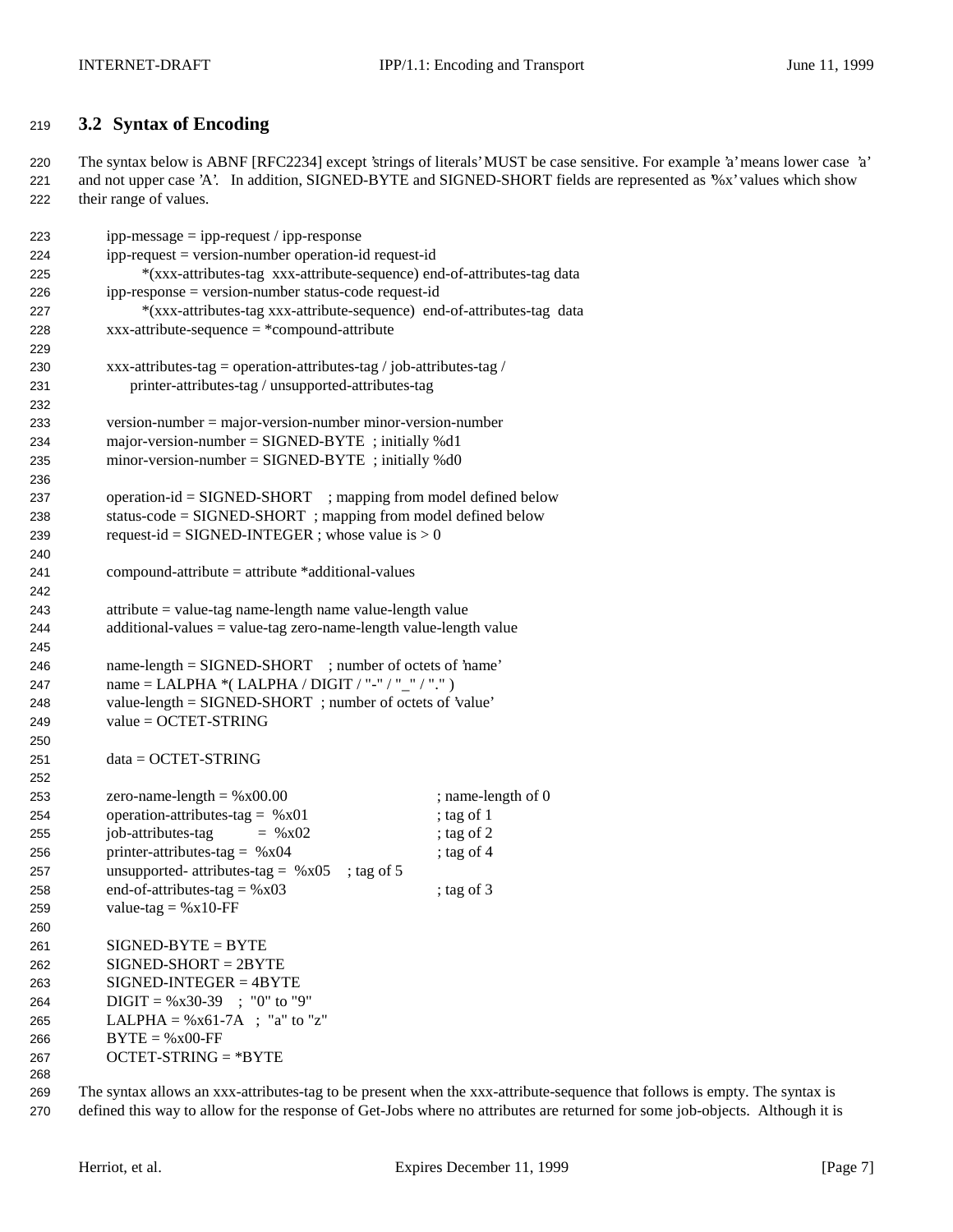## **3.2 Syntax of Encoding**

 The syntax below is ABNF [RFC2234] except 'strings of literals' MUST be case sensitive. For example 'a' means lower case 'a' and not upper case 'A'. In addition, SIGNED-BYTE and SIGNED-SHORT fields are represented as '%x' values which show their range of values.

| 223 | $ipp-message = ipp-request / ipp-response$                              |                    |
|-----|-------------------------------------------------------------------------|--------------------|
| 224 | ipp-request = version-number operation-id request-id                    |                    |
| 225 | *(xxx-attributes-tag xxx-attribute-sequence) end-of-attributes-tag data |                    |
| 226 | ipp-response = version-number status-code request-id                    |                    |
| 227 | *(xxx-attributes-tag xxx-attribute-sequence) end-of-attributes-tag data |                    |
| 228 | $xxx$ -attribute-sequence = *compound-attribute                         |                    |
| 229 |                                                                         |                    |
| 230 | xxx-attributes-tag = operation-attributes-tag / job-attributes-tag /    |                    |
| 231 | printer-attributes-tag / unsupported-attributes-tag                     |                    |
| 232 |                                                                         |                    |
| 233 | $version-number = majorversion-number minor-version-number$             |                    |
| 234 | major-version-number = $SIGNED-BYTE$ ; initially %d1                    |                    |
| 235 | $minor-version-number = SIGNED-BYTE$ ; initially %d0                    |                    |
| 236 |                                                                         |                    |
| 237 | operation-id = SIGNED-SHORT ; mapping from model defined below          |                    |
| 238 | status-code = SIGNED-SHORT; mapping from model defined below            |                    |
| 239 | request-id = SIGNED-INTEGER ; whose value is $> 0$                      |                    |
| 240 |                                                                         |                    |
| 241 | $compound-attribute = attribute * additional-values$                    |                    |
| 242 |                                                                         |                    |
| 243 | $attribute = value-tag name-length name value-length value$             |                    |
| 244 | $additional-values = value-tag zero-name-length value-length value$     |                    |
| 245 |                                                                         |                    |
| 246 | name-length = SIGNED-SHORT ; number of octets of 'name'                 |                    |
| 247 | name = LALPHA *(LALPHA / DIGIT / "-" / "_" / ".")                       |                    |
| 248 | value-length = SIGNED-SHORT; number of octets of 'value'                |                    |
| 249 | $value = OCTET-STRING$                                                  |                    |
| 250 |                                                                         |                    |
| 251 | $data = OCTET-STRING$                                                   |                    |
| 252 |                                                                         |                    |
| 253 | zero-name-length = $%x00.00$                                            | ; name-length of 0 |
| 254 | operation-attributes-tag = $%x01$                                       | ; tag of 1         |
| 255 | job-attributes-tag<br>$=$ % x02                                         | ; tag of 2         |
| 256 | printer-attributes-tag = $%x04$                                         | ; tag of $4$       |
| 257 | unsupported- attributes-tag = $%x05$<br>; tag of $5$                    |                    |
| 258 | end-of-attributes-tag = $%x03$                                          | ; tag of $3$       |
| 259 | value-tag = $%x10$ -FF                                                  |                    |
|     |                                                                         |                    |
| 260 | $SIGNED-BYTE = BYTE$                                                    |                    |
| 261 | $SIGNED-SHORT = 2BYTE$                                                  |                    |
| 262 |                                                                         |                    |
| 263 | $SIGNED-INTER = 4BYTE$                                                  |                    |
| 264 | $DIGIT = %x30-39$ ; "0" to "9"                                          |                    |
| 265 | LALPHA = $%x61-7A$ ; "a" to "z"                                         |                    |
| 266 | $BYTE = %x00-FF$                                                        |                    |
| 267 | $OCTET-STRING = *BYTE$                                                  |                    |
| 268 |                                                                         |                    |

 The syntax allows an xxx-attributes-tag to be present when the xxx-attribute-sequence that follows is empty. The syntax is defined this way to allow for the response of Get-Jobs where no attributes are returned for some job-objects. Although it is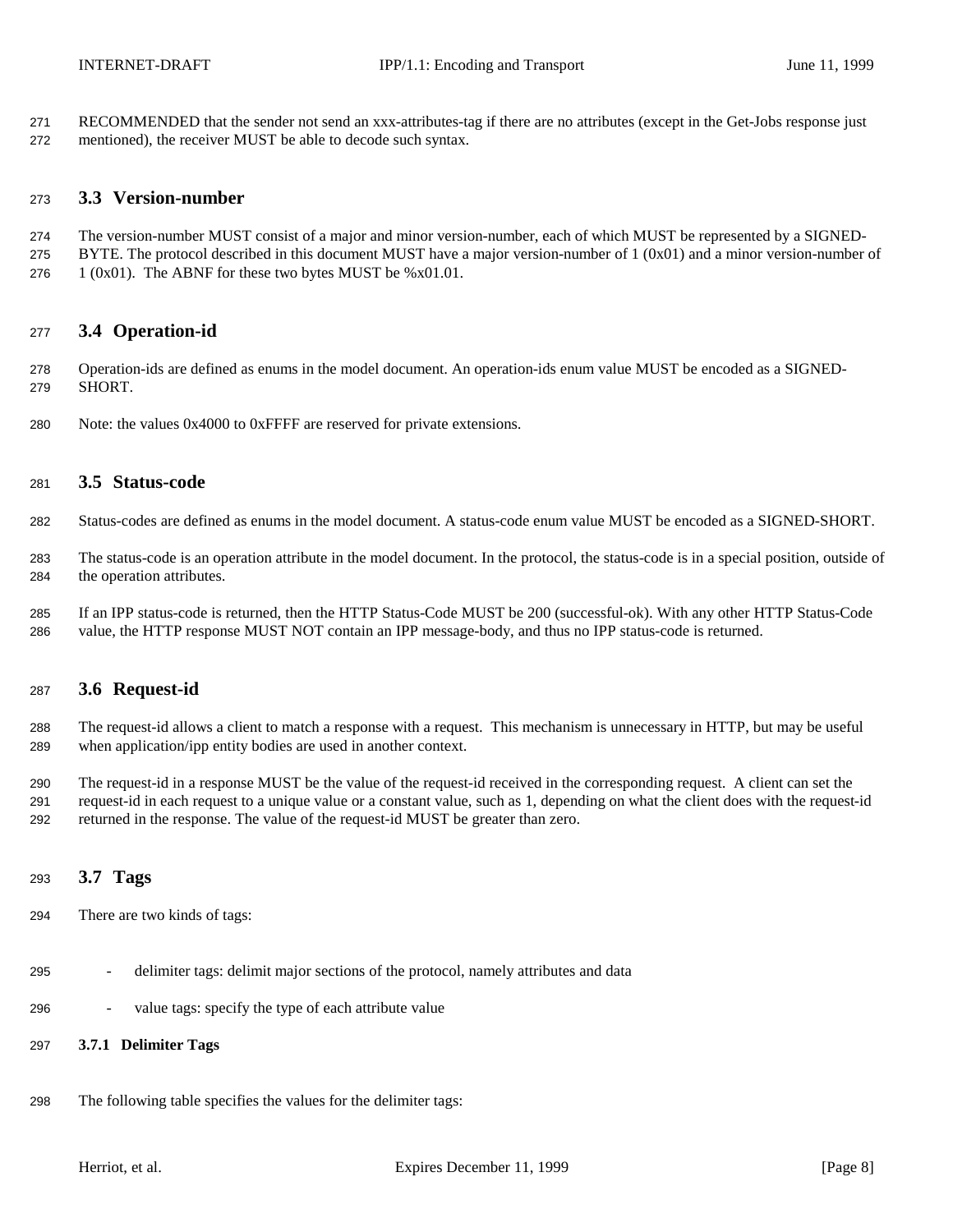RECOMMENDED that the sender not send an xxx-attributes-tag if there are no attributes (except in the Get-Jobs response just mentioned), the receiver MUST be able to decode such syntax.

### **3.3 Version-number**

- The version-number MUST consist of a major and minor version-number, each of which MUST be represented by a SIGNED-
- 275 BYTE. The protocol described in this document MUST have a major version-number of  $1 (0x01)$  and a minor version-number of 276  $1 (0x01)$ . The ABNF for these two bytes MUST be %x01.01.
- 

**3.4 Operation-id**

- Operation-ids are defined as enums in the model document. An operation-ids enum value MUST be encoded as a SIGNED-SHORT.
- Note: the values 0x4000 to 0xFFFF are reserved for private extensions.

## **3.5 Status-code**

- Status-codes are defined as enums in the model document. A status-code enum value MUST be encoded as a SIGNED-SHORT.
- The status-code is an operation attribute in the model document. In the protocol, the status-code is in a special position, outside of the operation attributes.
- If an IPP status-code is returned, then the HTTP Status-Code MUST be 200 (successful-ok). With any other HTTP Status-Code value, the HTTP response MUST NOT contain an IPP message-body, and thus no IPP status-code is returned.

### **3.6 Request-id**

- The request-id allows a client to match a response with a request. This mechanism is unnecessary in HTTP, but may be useful when application/ipp entity bodies are used in another context.
- The request-id in a response MUST be the value of the request-id received in the corresponding request. A client can set the request-id in each request to a unique value or a constant value, such as 1, depending on what the client does with the request-id returned in the response. The value of the request-id MUST be greater than zero.

### **3.7 Tags**

- There are two kinds of tags:
- delimiter tags: delimit major sections of the protocol, namely attributes and data
- value tags: specify the type of each attribute value

## **3.7.1 Delimiter Tags**

The following table specifies the values for the delimiter tags: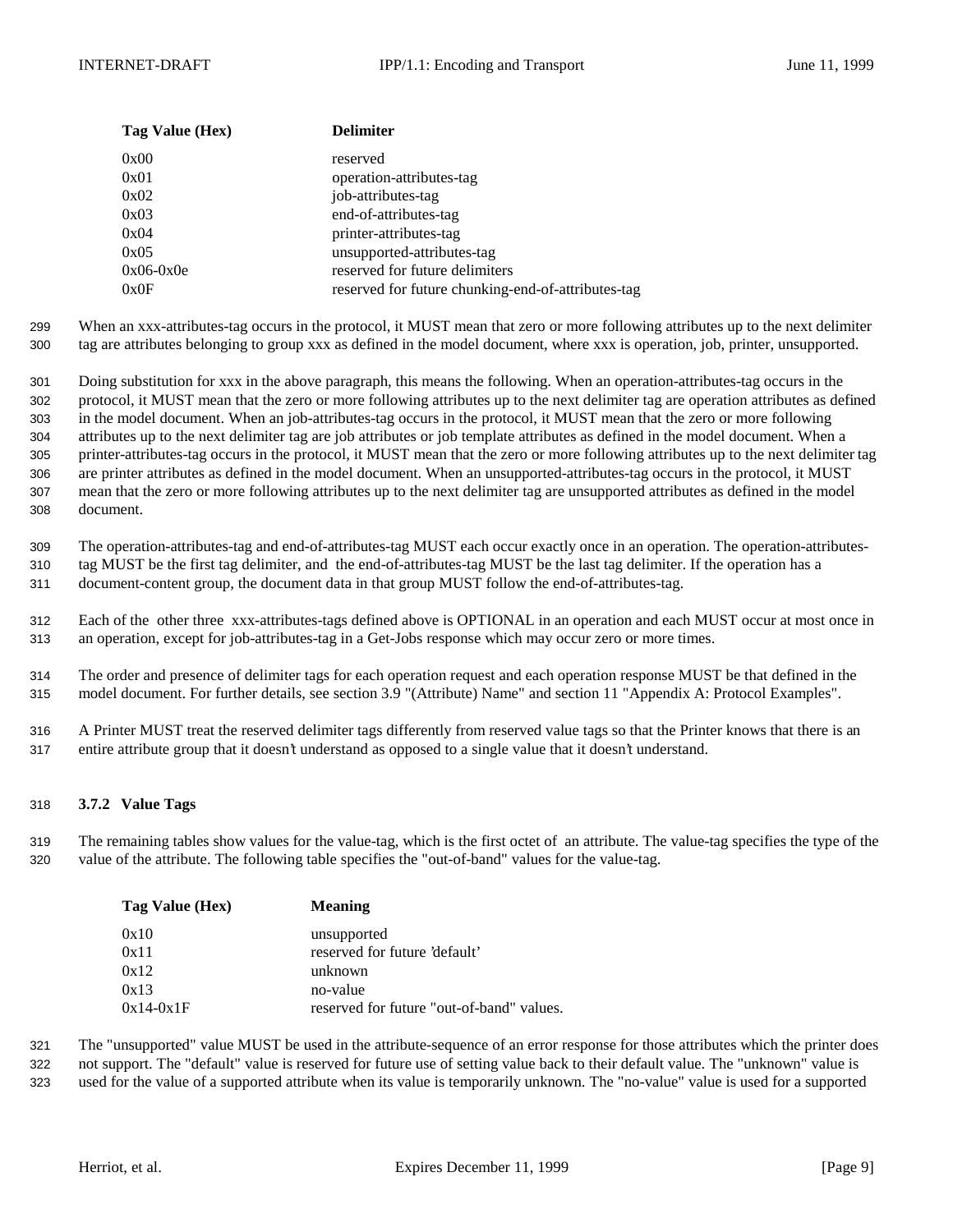| Tag Value (Hex) | <b>Delimiter</b>                                   |
|-----------------|----------------------------------------------------|
| 0x00            | reserved                                           |
| 0x01            | operation-attributes-tag                           |
| 0x02            | job-attributes-tag                                 |
| 0x03            | end-of-attributes-tag                              |
| 0x04            | printer-attributes-tag                             |
| 0x05            | unsupported-attributes-tag                         |
| $0x06-0x0e$     | reserved for future delimiters                     |
| 0x0F            | reserved for future chunking-end-of-attributes-tag |

299 When an xxx-attributes-tag occurs in the protocol, it MUST mean that zero or more following attributes up to the next delimiter 300 tag are attributes belonging to group xxx as defined in the model document, where xxx is operation, job, printer, unsupported.

 Doing substitution for xxx in the above paragraph, this means the following. When an operation-attributes-tag occurs in the protocol, it MUST mean that the zero or more following attributes up to the next delimiter tag are operation attributes as defined in the model document. When an job-attributes-tag occurs in the protocol, it MUST mean that the zero or more following attributes up to the next delimiter tag are job attributes or job template attributes as defined in the model document. When a printer-attributes-tag occurs in the protocol, it MUST mean that the zero or more following attributes up to the next delimiter tag are printer attributes as defined in the model document. When an unsupported-attributes-tag occurs in the protocol, it MUST mean that the zero or more following attributes up to the next delimiter tag are unsupported attributes as defined in the model document.

309 The operation-attributes-tag and end-of-attributes-tag MUST each occur exactly once in an operation. The operation-attributes-310 tag MUST be the first tag delimiter, and the end-of-attributes-tag MUST be the last tag delimiter. If the operation has a

311 document-content group, the document data in that group MUST follow the end-of-attributes-tag.

312 Each of the other three xxx-attributes-tags defined above is OPTIONAL in an operation and each MUST occur at most once in 313 an operation, except for job-attributes-tag in a Get-Jobs response which may occur zero or more times.

314 The order and presence of delimiter tags for each operation request and each operation response MUST be that defined in the 315 model document. For further details, see section 3.9 "(Attribute) Name" and section 11 "Appendix A: Protocol Examples".

316 A Printer MUST treat the reserved delimiter tags differently from reserved value tags so that the Printer knows that there is an 317 entire attribute group that it doesn't understand as opposed to a single value that it doesn't understand.

#### 318 **3.7.2 Value Tags**

319 The remaining tables show values for the value-tag, which is the first octet of an attribute. The value-tag specifies the type of the 320 value of the attribute. The following table specifies the "out-of-band" values for the value-tag.

| Tag Value (Hex) | <b>Meaning</b>                            |
|-----------------|-------------------------------------------|
| 0x10            | unsupported                               |
| 0x11            | reserved for future 'default'             |
| 0x12            | unknown                                   |
| 0x13            | no-value                                  |
| $0x14-0x1F$     | reserved for future "out-of-band" values. |

321 The "unsupported" value MUST be used in the attribute-sequence of an error response for those attributes which the printer does 322 not support. The "default" value is reserved for future use of setting value back to their default value. The "unknown" value is

323 used for the value of a supported attribute when its value is temporarily unknown. The "no-value" value is used for a supported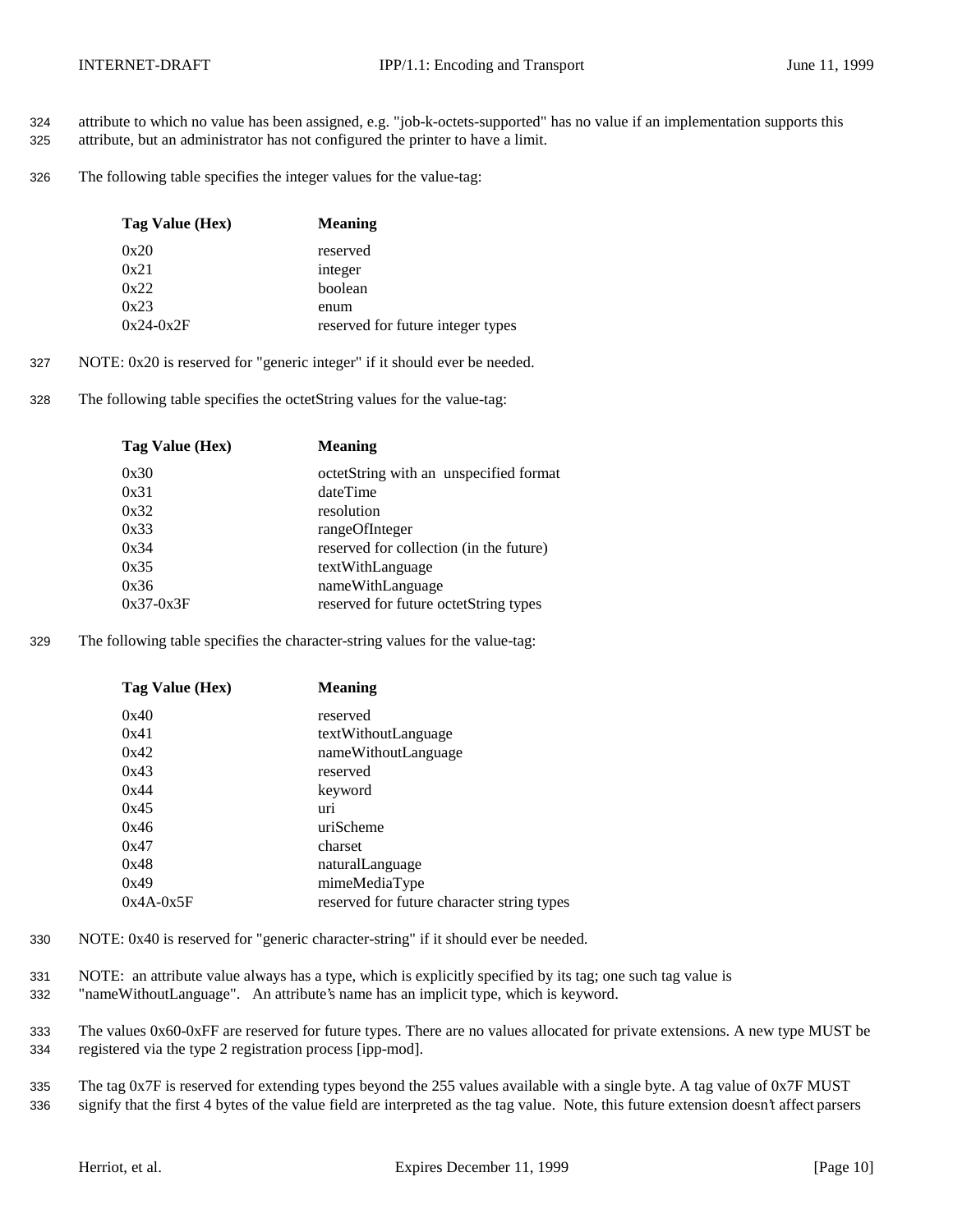- 324 attribute to which no value has been assigned, e.g. "job-k-octets-supported" has no value if an implementation supports this
- 325 attribute, but an administrator has not configured the printer to have a limit.
- 326 The following table specifies the integer values for the value-tag:

| Tag Value (Hex) | <b>Meaning</b>                    |
|-----------------|-----------------------------------|
| 0x20            | reserved                          |
| 0x21            | integer                           |
| 0x22            | boolean                           |
| 0x23            | enum                              |
| $0x24-0x2F$     | reserved for future integer types |

- 327 NOTE: 0x20 is reserved for "generic integer" if it should ever be needed.
- 328 The following table specifies the octetString values for the value-tag:

| Tag Value (Hex) | <b>Meaning</b>                          |
|-----------------|-----------------------------------------|
| 0x30            | octetString with an unspecified format  |
| 0x31            | dateTime                                |
| 0x32            | resolution                              |
| 0x33            | rangeOfInteger                          |
| 0x34            | reserved for collection (in the future) |
| 0x35            | textWithLanguage                        |
| 0x36            | nameWithLanguage                        |
| $0x37-0x3F$     | reserved for future octetString types   |
|                 |                                         |

329 The following table specifies the character-string values for the value-tag:

| Tag Value (Hex) | <b>Meaning</b>                             |
|-----------------|--------------------------------------------|
| 0x40            | reserved                                   |
| 0x41            | textWithoutLanguage                        |
| 0x42            | nameWithoutLanguage                        |
| 0x43            | reserved                                   |
| 0x44            | keyword                                    |
| 0x45            | uri                                        |
| 0x46            | uriScheme                                  |
| 0x47            | charset                                    |
| 0x48            | naturalLanguage                            |
| 0x49            | mimeMediaType                              |
| $0x4A-0x5F$     | reserved for future character string types |

- 330 NOTE: 0x40 is reserved for "generic character-string" if it should ever be needed.
- 331 NOTE: an attribute value always has a type, which is explicitly specified by its tag; one such tag value is
- 332 "nameWithoutLanguage". An attribute's name has an implicit type, which is keyword.
- 333 The values 0x60-0xFF are reserved for future types. There are no values allocated for private extensions. A new type MUST be 334 registered via the type 2 registration process [ipp-mod].
- 335 The tag 0x7F is reserved for extending types beyond the 255 values available with a single byte. A tag value of 0x7F MUST 336 signify that the first 4 bytes of the value field are interpreted as the tag value. Note, this future extension doesn't affect parsers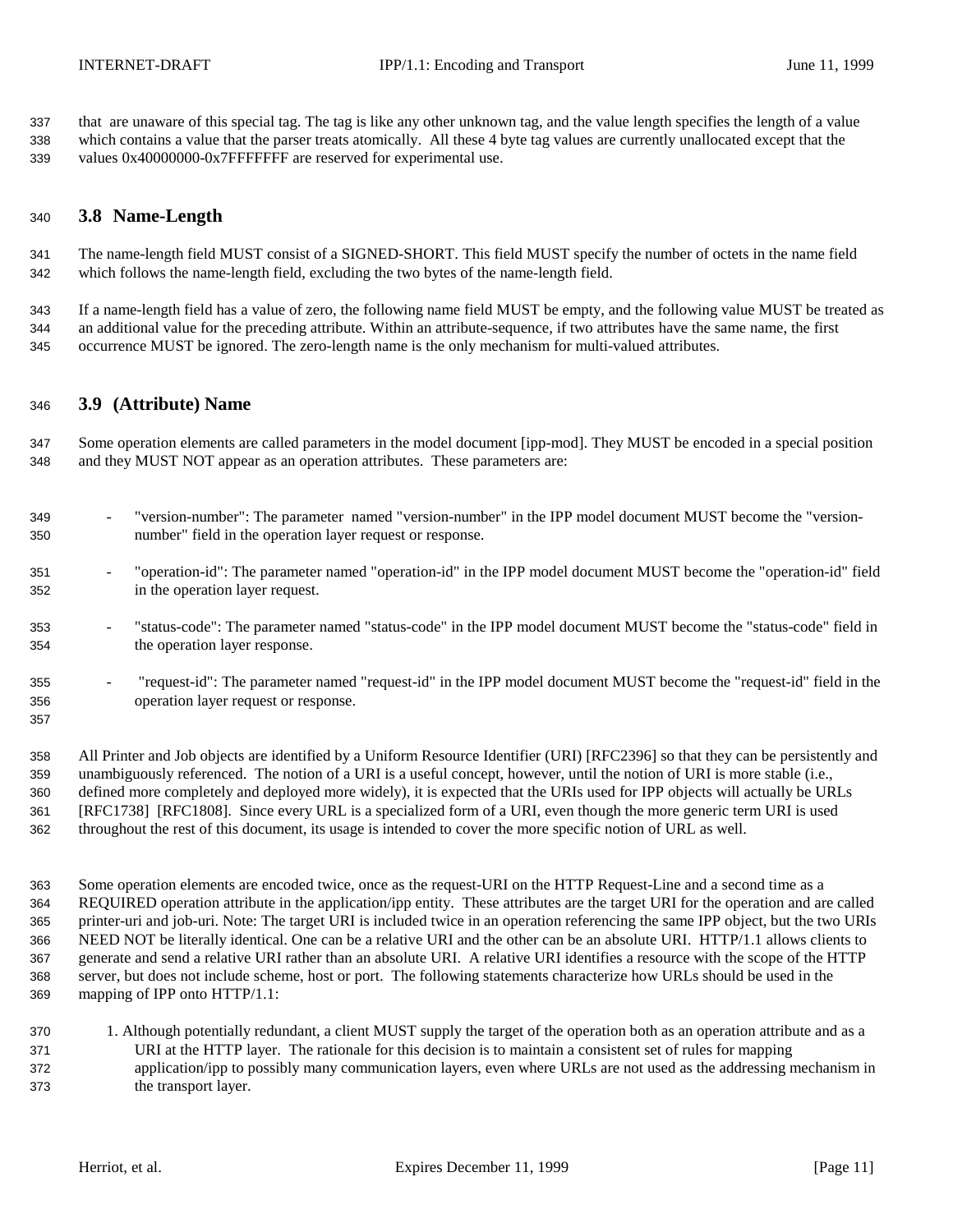that are unaware of this special tag. The tag is like any other unknown tag, and the value length specifies the length of a value which contains a value that the parser treats atomically. All these 4 byte tag values are currently unallocated except that the 339 values 0x40000000-0x7FFFFFFFF are reserved for experimental use.

## **3.8 Name-Length**

 The name-length field MUST consist of a SIGNED-SHORT. This field MUST specify the number of octets in the name field which follows the name-length field, excluding the two bytes of the name-length field.

 If a name-length field has a value of zero, the following name field MUST be empty, and the following value MUST be treated as an additional value for the preceding attribute. Within an attribute-sequence, if two attributes have the same name, the first occurrence MUST be ignored. The zero-length name is the only mechanism for multi-valued attributes.

### **3.9 (Attribute) Name**

 Some operation elements are called parameters in the model document [ipp-mod]. They MUST be encoded in a special position and they MUST NOT appear as an operation attributes. These parameters are:

- "version-number": The parameter named "version-number" in the IPP model document MUST become the "version-number" field in the operation layer request or response.
- "operation-id": The parameter named "operation-id" in the IPP model document MUST become the "operation-id" field in the operation layer request.
- "status-code": The parameter named "status-code" in the IPP model document MUST become the "status-code" field in the operation layer response.
- "request-id": The parameter named "request-id" in the IPP model document MUST become the "request-id" field in the operation layer request or response.

 All Printer and Job objects are identified by a Uniform Resource Identifier (URI) [RFC2396] so that they can be persistently and unambiguously referenced. The notion of a URI is a useful concept, however, until the notion of URI is more stable (i.e., defined more completely and deployed more widely), it is expected that the URIs used for IPP objects will actually be URLs [RFC1738] [RFC1808]. Since every URL is a specialized form of a URI, even though the more generic term URI is used throughout the rest of this document, its usage is intended to cover the more specific notion of URL as well.

 Some operation elements are encoded twice, once as the request-URI on the HTTP Request-Line and a second time as a REQUIRED operation attribute in the application/ipp entity. These attributes are the target URI for the operation and are called printer-uri and job-uri. Note: The target URI is included twice in an operation referencing the same IPP object, but the two URIs NEED NOT be literally identical. One can be a relative URI and the other can be an absolute URI. HTTP/1.1 allows clients to generate and send a relative URI rather than an absolute URI. A relative URI identifies a resource with the scope of the HTTP server, but does not include scheme, host or port. The following statements characterize how URLs should be used in the mapping of IPP onto HTTP/1.1:

- 1. Although potentially redundant, a client MUST supply the target of the operation both as an operation attribute and as a URI at the HTTP layer. The rationale for this decision is to maintain a consistent set of rules for mapping application/ipp to possibly many communication layers, even where URLs are not used as the addressing mechanism in
- the transport layer.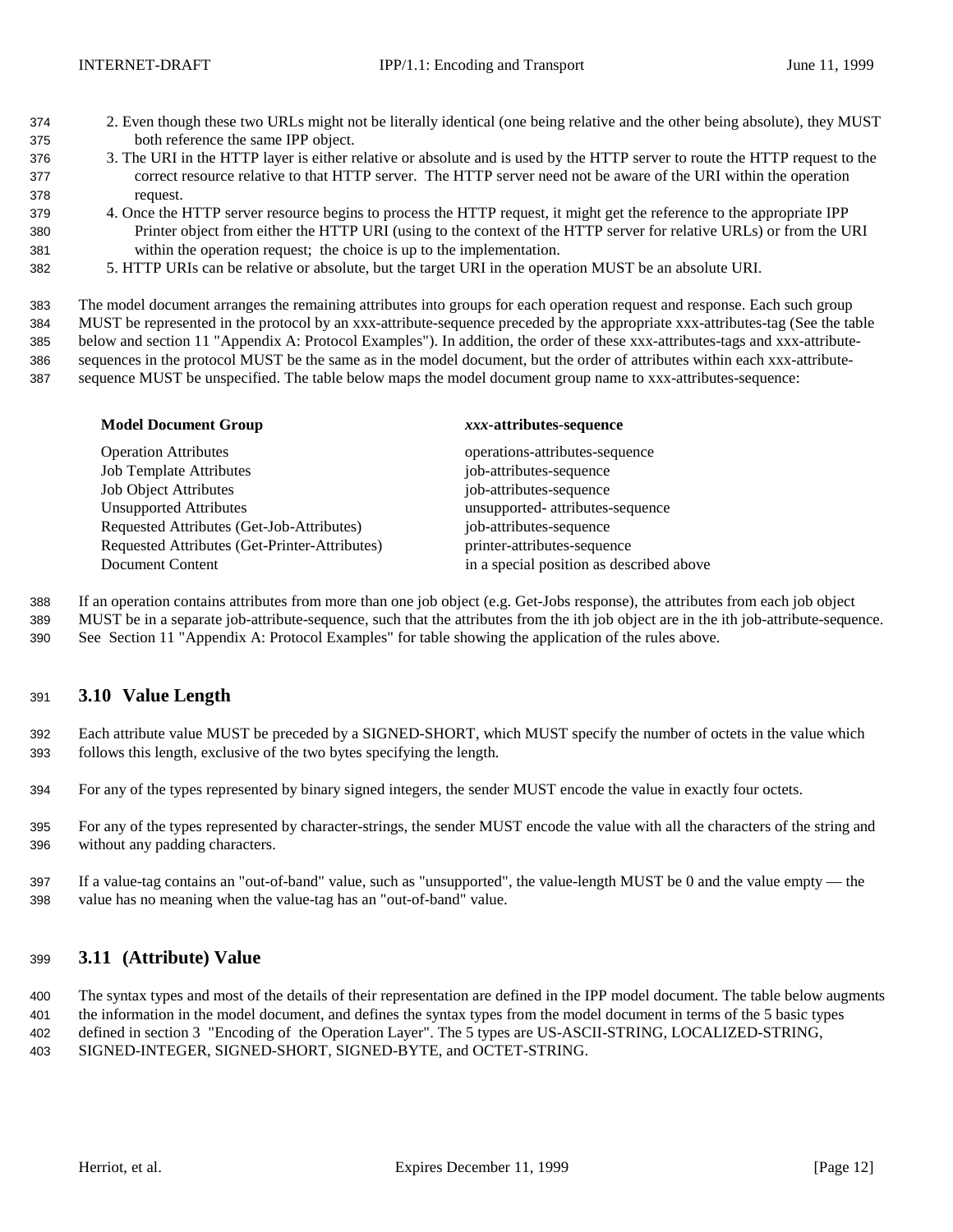- 2. Even though these two URLs might not be literally identical (one being relative and the other being absolute), they MUST both reference the same IPP object.
- 3. The URI in the HTTP layer is either relative or absolute and is used by the HTTP server to route the HTTP request to the correct resource relative to that HTTP server. The HTTP server need not be aware of the URI within the operation request.
- 4. Once the HTTP server resource begins to process the HTTP request, it might get the reference to the appropriate IPP Printer object from either the HTTP URI (using to the context of the HTTP server for relative URLs) or from the URI within the operation request; the choice is up to the implementation.
- 5. HTTP URIs can be relative or absolute, but the target URI in the operation MUST be an absolute URI.

The model document arranges the remaining attributes into groups for each operation request and response. Each such group

- MUST be represented in the protocol by an xxx-attribute-sequence preceded by the appropriate xxx-attributes-tag (See the table below and section 11 "Appendix A: Protocol Examples"). In addition, the order of these xxx-attributes-tags and xxx-attribute-sequences in the protocol MUST be the same as in the model document, but the order of attributes within each xxx-attribute-
- sequence MUST be unspecified. The table below maps the model document group name to xxx-attributes-sequence:

| <b>Model Document Group</b>                   | xxx-attributes-sequence                  |
|-----------------------------------------------|------------------------------------------|
| <b>Operation Attributes</b>                   | operations-attributes-sequence           |
| <b>Job Template Attributes</b>                | job-attributes-sequence                  |
| <b>Job Object Attributes</b>                  | job-attributes-sequence                  |
| <b>Unsupported Attributes</b>                 | unsupported- attributes-sequence         |
| Requested Attributes (Get-Job-Attributes)     | job-attributes-sequence                  |
| Requested Attributes (Get-Printer-Attributes) | printer-attributes-sequence              |
| Document Content                              | in a special position as described above |

 If an operation contains attributes from more than one job object (e.g. Get-Jobs response), the attributes from each job object MUST be in a separate job-attribute-sequence, such that the attributes from the ith job object are in the ith job-attribute-sequence.

See Section 11 "Appendix A: Protocol Examples" for table showing the application of the rules above.

## **3.10 Value Length**

 Each attribute value MUST be preceded by a SIGNED-SHORT, which MUST specify the number of octets in the value which follows this length, exclusive of the two bytes specifying the length.

- For any of the types represented by binary signed integers, the sender MUST encode the value in exactly four octets.
- For any of the types represented by character-strings, the sender MUST encode the value with all the characters of the string and without any padding characters.
- If a value-tag contains an "out-of-band" value, such as "unsupported", the value-length MUST be 0 and the value empty the value has no meaning when the value-tag has an "out-of-band" value.

## **3.11 (Attribute) Value**

 The syntax types and most of the details of their representation are defined in the IPP model document. The table below augments the information in the model document, and defines the syntax types from the model document in terms of the 5 basic types defined in section 3 "Encoding of the Operation Layer". The 5 types are US-ASCII-STRING, LOCALIZED-STRING, SIGNED-INTEGER, SIGNED-SHORT, SIGNED-BYTE, and OCTET-STRING.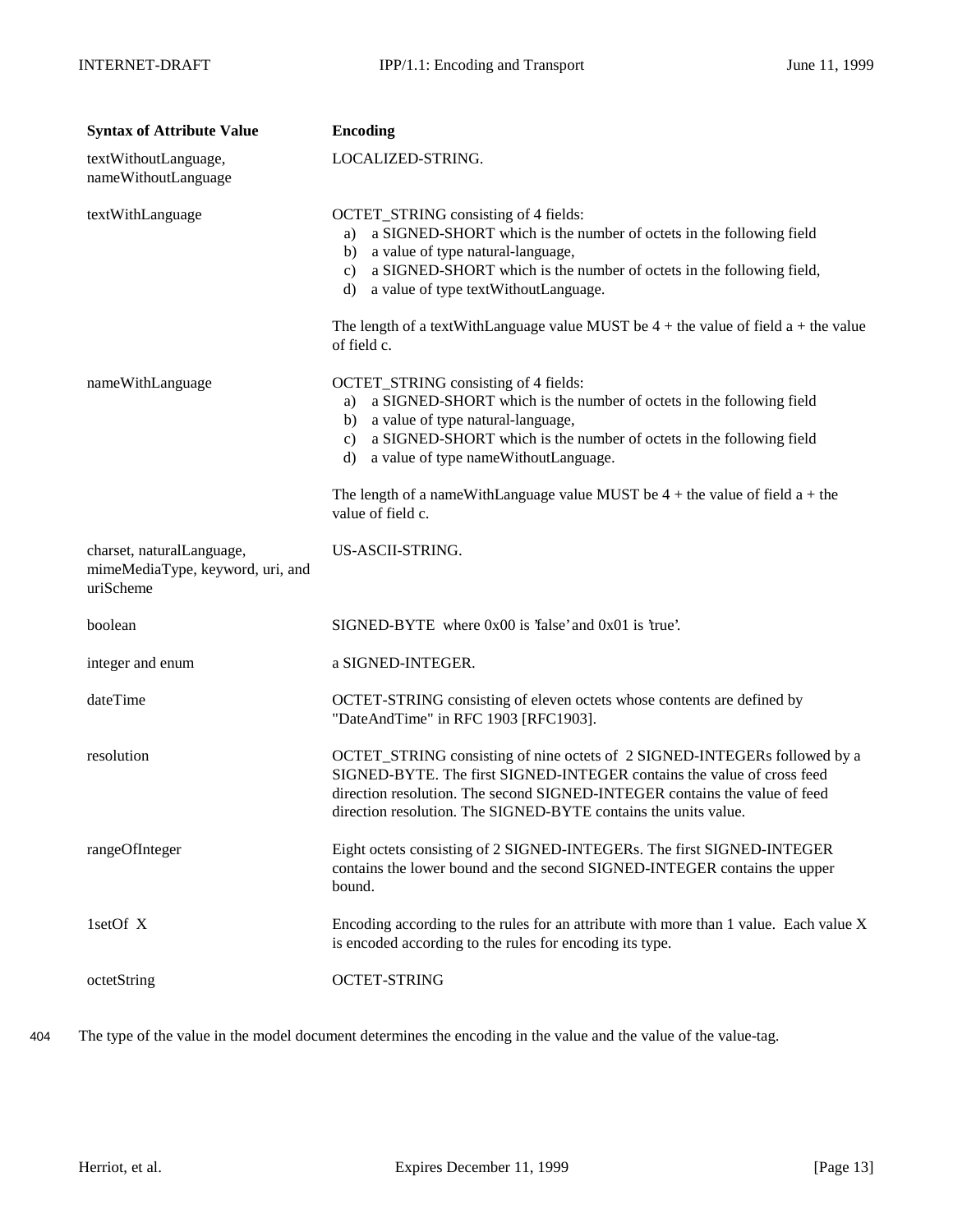| <b>Syntax of Attribute Value</b>                                           | <b>Encoding</b>                                                                                                                                                                                                                                                                                                                                                          |
|----------------------------------------------------------------------------|--------------------------------------------------------------------------------------------------------------------------------------------------------------------------------------------------------------------------------------------------------------------------------------------------------------------------------------------------------------------------|
| textWithoutLanguage,<br>nameWithoutLanguage                                | LOCALIZED-STRING.                                                                                                                                                                                                                                                                                                                                                        |
| textWithLanguage                                                           | OCTET_STRING consisting of 4 fields:<br>a SIGNED-SHORT which is the number of octets in the following field<br>a)<br>b) a value of type natural-language,<br>c) a SIGNED-SHORT which is the number of octets in the following field,<br>d) a value of type textWithoutLanguage.<br>The length of a textWithLanguage value MUST be $4 +$ the value of field a + the value |
|                                                                            | of field c.                                                                                                                                                                                                                                                                                                                                                              |
| nameWithLanguage                                                           | OCTET_STRING consisting of 4 fields:<br>a SIGNED-SHORT which is the number of octets in the following field<br>a)<br>b) a value of type natural-language,<br>c) a SIGNED-SHORT which is the number of octets in the following field<br>d) a value of type nameWithoutLanguage.                                                                                           |
|                                                                            | The length of a nameWithLanguage value MUST be $4 +$ the value of field $a +$ the<br>value of field c.                                                                                                                                                                                                                                                                   |
| charset, naturalLanguage,<br>mimeMediaType, keyword, uri, and<br>uriScheme | US-ASCII-STRING.                                                                                                                                                                                                                                                                                                                                                         |
| boolean                                                                    | SIGNED-BYTE where 0x00 is 'false' and 0x01 is 'true'.                                                                                                                                                                                                                                                                                                                    |
| integer and enum                                                           | a SIGNED-INTEGER.                                                                                                                                                                                                                                                                                                                                                        |
| dateTime                                                                   | OCTET-STRING consisting of eleven octets whose contents are defined by<br>"DateAndTime" in RFC 1903 [RFC1903].                                                                                                                                                                                                                                                           |
| resolution                                                                 | OCTET_STRING consisting of nine octets of 2 SIGNED-INTEGERs followed by a<br>SIGNED-BYTE. The first SIGNED-INTEGER contains the value of cross feed<br>direction resolution. The second SIGNED-INTEGER contains the value of feed<br>direction resolution. The SIGNED-BYTE contains the units value.                                                                     |
| rangeOfInteger                                                             | Eight octets consisting of 2 SIGNED-INTEGERs. The first SIGNED-INTEGER<br>contains the lower bound and the second SIGNED-INTEGER contains the upper<br>bound.                                                                                                                                                                                                            |
| 1setOf X                                                                   | Encoding according to the rules for an attribute with more than 1 value. Each value X<br>is encoded according to the rules for encoding its type.                                                                                                                                                                                                                        |
| octetString                                                                | <b>OCTET-STRING</b>                                                                                                                                                                                                                                                                                                                                                      |

404 The type of the value in the model document determines the encoding in the value and the value of the value-tag.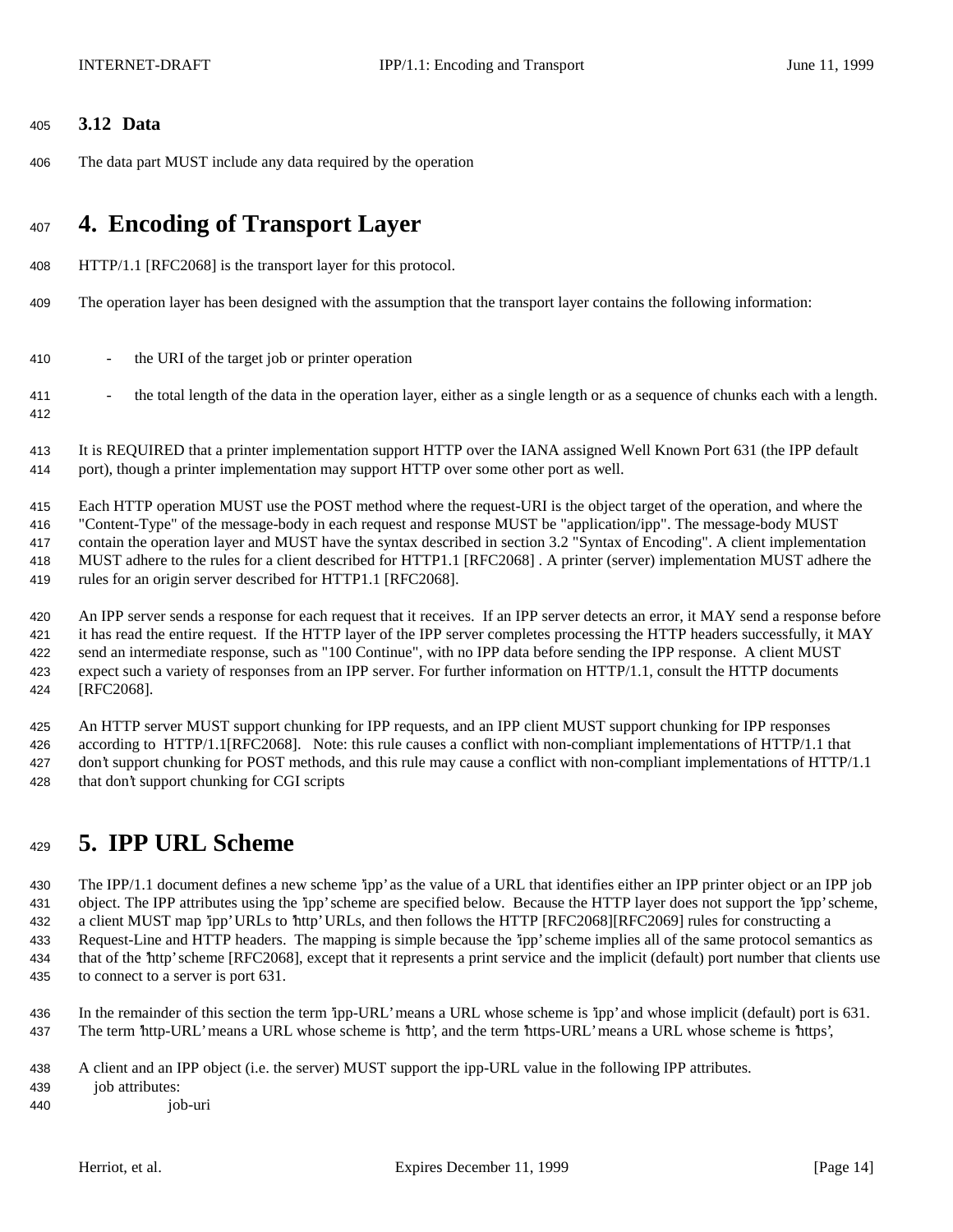## **3.12 Data**

The data part MUST include any data required by the operation

# **4. Encoding of Transport Layer**

- HTTP/1.1 [RFC2068] is the transport layer for this protocol.
- The operation layer has been designed with the assumption that the transport layer contains the following information:
- 410 the URI of the target job or printer operation
- <sup>411</sup> the total length of the data in the operation layer, either as a single length or as a sequence of chunks each with a length.
- It is REQUIRED that a printer implementation support HTTP over the IANA assigned Well Known Port 631 (the IPP default port), though a printer implementation may support HTTP over some other port as well.

 Each HTTP operation MUST use the POST method where the request-URI is the object target of the operation, and where the "Content-Type" of the message-body in each request and response MUST be "application/ipp". The message-body MUST contain the operation layer and MUST have the syntax described in section 3.2 "Syntax of Encoding". A client implementation MUST adhere to the rules for a client described for HTTP1.1 [RFC2068] . A printer (server) implementation MUST adhere the

rules for an origin server described for HTTP1.1 [RFC2068].

 An IPP server sends a response for each request that it receives. If an IPP server detects an error, it MAY send a response before it has read the entire request. If the HTTP layer of the IPP server completes processing the HTTP headers successfully, it MAY send an intermediate response, such as "100 Continue", with no IPP data before sending the IPP response. A client MUST expect such a variety of responses from an IPP server. For further information on HTTP/1.1, consult the HTTP documents [RFC2068].

 An HTTP server MUST support chunking for IPP requests, and an IPP client MUST support chunking for IPP responses according to HTTP/1.1[RFC2068]. Note: this rule causes a conflict with non-compliant implementations of HTTP/1.1 that don't support chunking for POST methods, and this rule may cause a conflict with non-compliant implementations of HTTP/1.1 that don't support chunking for CGI scripts

# **5. IPP URL Scheme**

 The IPP/1.1 document defines a new scheme 'ipp' as the value of a URL that identifies either an IPP printer object or an IPP job object. The IPP attributes using the 'ipp' scheme are specified below. Because the HTTP layer does not support the 'ipp' scheme, a client MUST map 'ipp' URLs to 'http' URLs, and then follows the HTTP [RFC2068][RFC2069] rules for constructing a Request-Line and HTTP headers. The mapping is simple because the 'ipp' scheme implies all of the same protocol semantics as that of the 'http' scheme [RFC2068], except that it represents a print service and the implicit (default) port number that clients use to connect to a server is port 631.

 In the remainder of this section the term 'ipp-URL' means a URL whose scheme is 'ipp' and whose implicit (default) port is 631. The term 'http-URL' means a URL whose scheme is 'http', and the term 'https-URL' means a URL whose scheme is 'https',

- A client and an IPP object (i.e. the server) MUST support the ipp-URL value in the following IPP attributes.
- job attributes:
- job-uri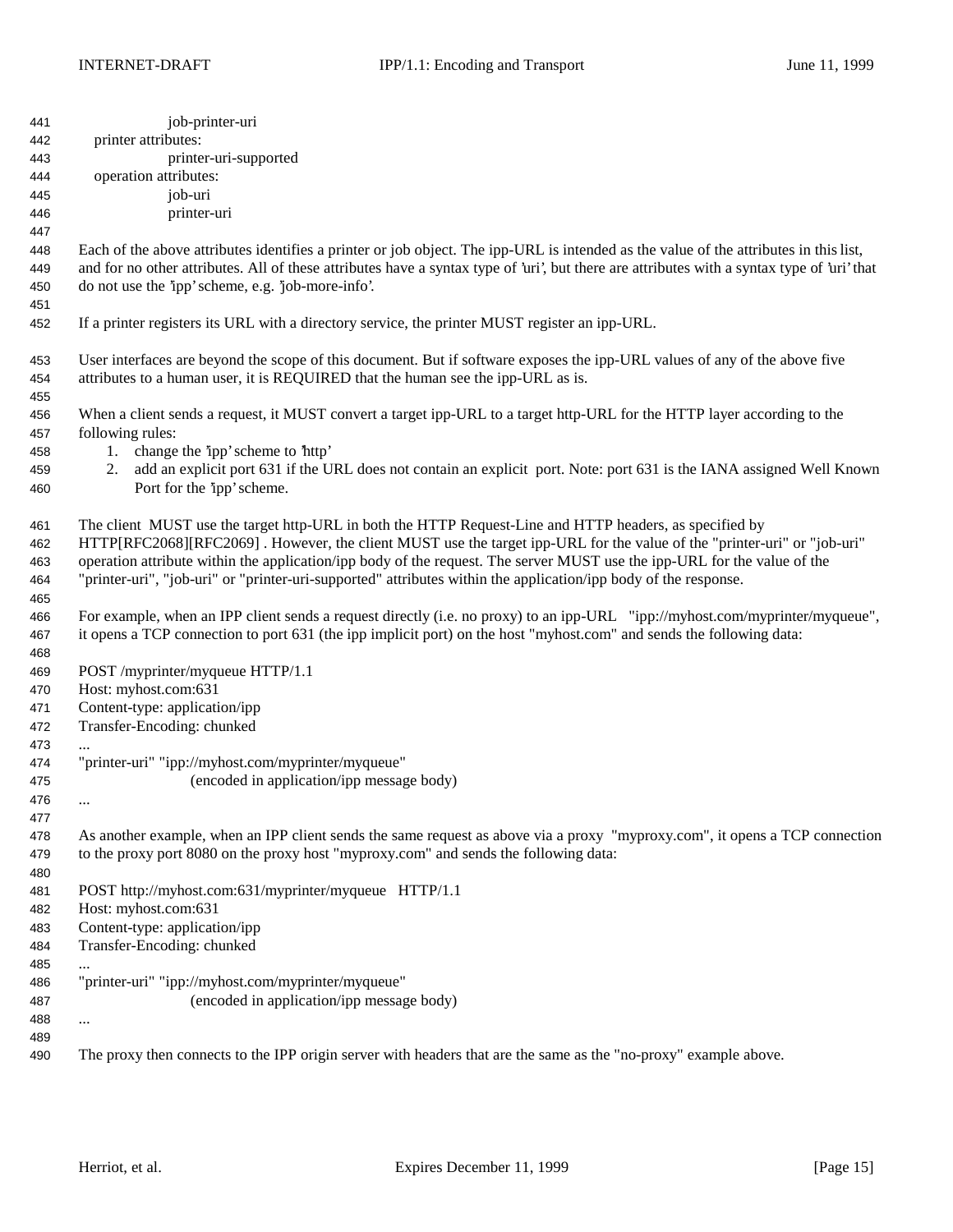| 441 | job-printer-uri                                                                                                                             |
|-----|---------------------------------------------------------------------------------------------------------------------------------------------|
| 442 | printer attributes:                                                                                                                         |
| 443 | printer-uri-supported                                                                                                                       |
| 444 | operation attributes:                                                                                                                       |
| 445 | job-uri                                                                                                                                     |
| 446 | printer-uri                                                                                                                                 |
| 447 |                                                                                                                                             |
| 448 | Each of the above attributes identifies a printer or job object. The ipp-URL is intended as the value of the attributes in this list,       |
| 449 | and for no other attributes. All of these attributes have a syntax type of 'uri', but there are attributes with a syntax type of 'uri' that |
| 450 | do not use the 'ipp' scheme, e.g. 'job-more-info'.                                                                                          |
| 451 |                                                                                                                                             |
| 452 | If a printer registers its URL with a directory service, the printer MUST register an ipp-URL.                                              |
| 453 | User interfaces are beyond the scope of this document. But if software exposes the ipp-URL values of any of the above five                  |
| 454 | attributes to a human user, it is REQUIRED that the human see the ipp-URL as is.                                                            |
| 455 |                                                                                                                                             |
| 456 | When a client sends a request, it MUST convert a target ipp-URL to a target http-URL for the HTTP layer according to the                    |
| 457 | following rules:                                                                                                                            |
| 458 | 1. change the 'ipp' scheme to 'http'                                                                                                        |
| 459 | add an explicit port 631 if the URL does not contain an explicit port. Note: port 631 is the IANA assigned Well Known<br>2.                 |
| 460 | Port for the 'ipp' scheme.                                                                                                                  |
|     |                                                                                                                                             |
| 461 | The client MUST use the target http-URL in both the HTTP Request-Line and HTTP headers, as specified by                                     |
| 462 | HTTP[RFC2068][RFC2069]. However, the client MUST use the target ipp-URL for the value of the "printer-uri" or "job-uri"                     |
| 463 | operation attribute within the application/ipp body of the request. The server MUST use the ipp-URL for the value of the                    |
| 464 | "printer-uri", "job-uri" or "printer-uri-supported" attributes within the application/ipp body of the response.                             |
| 465 |                                                                                                                                             |
| 466 | For example, when an IPP client sends a request directly (i.e. no proxy) to an ipp-URL "ipp://myhost.com/myprinter/myqueue",                |
| 467 | it opens a TCP connection to port 631 (the ipp implicit port) on the host "myhost.com" and sends the following data:                        |
| 468 |                                                                                                                                             |
| 469 | POST /myprinter/myqueue HTTP/1.1                                                                                                            |
| 470 | Host: myhost.com:631                                                                                                                        |
| 471 | Content-type: application/ipp                                                                                                               |
| 472 | Transfer-Encoding: chunked                                                                                                                  |
| 473 | $\cdots$                                                                                                                                    |
| 474 | "printer-uri" "ipp://myhost.com/myprinter/myqueue"                                                                                          |
| 475 | (encoded in application/ipp message body)                                                                                                   |
| 476 | $\cdots$                                                                                                                                    |
| 477 |                                                                                                                                             |
| 478 | As another example, when an IPP client sends the same request as above via a proxy "myproxy.com", it opens a TCP connection                 |
| 479 | to the proxy port 8080 on the proxy host "myproxy.com" and sends the following data:                                                        |
| 480 |                                                                                                                                             |
| 481 | POST http://myhost.com:631/myprinter/myqueue HTTP/1.1                                                                                       |
| 482 | Host: myhost.com:631                                                                                                                        |
| 483 | Content-type: application/ipp                                                                                                               |
| 484 | Transfer-Encoding: chunked                                                                                                                  |
| 485 | $\cdots$                                                                                                                                    |
| 486 | "printer-uri" "ipp://myhost.com/myprinter/myqueue"                                                                                          |
| 487 | (encoded in application/ipp message body)                                                                                                   |
| 488 | $\cdots$                                                                                                                                    |
| 489 |                                                                                                                                             |
| 490 | The proxy then connects to the IPP origin server with headers that are the same as the "no-proxy" example above.                            |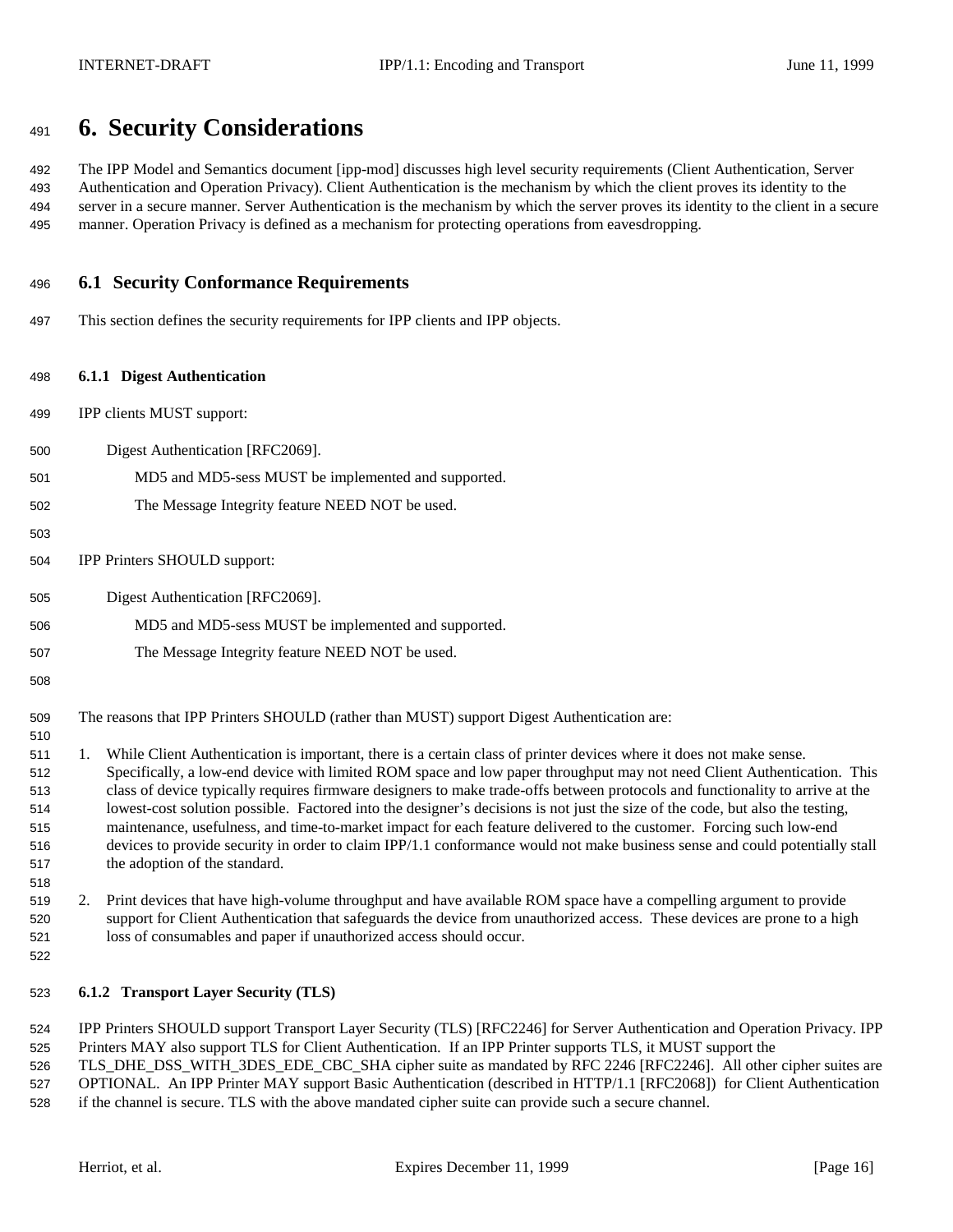# **6. Security Considerations**

 The IPP Model and Semantics document [ipp-mod] discusses high level security requirements (Client Authentication, Server Authentication and Operation Privacy). Client Authentication is the mechanism by which the client proves its identity to the server in a secure manner. Server Authentication is the mechanism by which the server proves its identity to the client in a secure manner. Operation Privacy is defined as a mechanism for protecting operations from eavesdropping.

## **6.1 Security Conformance Requirements**

This section defines the security requirements for IPP clients and IPP objects.

### **6.1.1 Digest Authentication**

- IPP clients MUST support:
- Digest Authentication [RFC2069].
- MD5 and MD5-sess MUST be implemented and supported.
- The Message Integrity feature NEED NOT be used.
- 
- IPP Printers SHOULD support:
- Digest Authentication [RFC2069].
- MD5 and MD5-sess MUST be implemented and supported.
- The Message Integrity feature NEED NOT be used.
- 

- The reasons that IPP Printers SHOULD (rather than MUST) support Digest Authentication are:
- 1. While Client Authentication is important, there is a certain class of printer devices where it does not make sense. Specifically, a low-end device with limited ROM space and low paper throughput may not need Client Authentication. This class of device typically requires firmware designers to make trade-offs between protocols and functionality to arrive at the lowest-cost solution possible. Factored into the designer's decisions is not just the size of the code, but also the testing, maintenance, usefulness, and time-to-market impact for each feature delivered to the customer. Forcing such low-end devices to provide security in order to claim IPP/1.1 conformance would not make business sense and could potentially stall the adoption of the standard.
- 2. Print devices that have high-volume throughput and have available ROM space have a compelling argument to provide support for Client Authentication that safeguards the device from unauthorized access. These devices are prone to a high loss of consumables and paper if unauthorized access should occur.
- 

## **6.1.2 Transport Layer Security (TLS)**

 IPP Printers SHOULD support Transport Layer Security (TLS) [RFC2246] for Server Authentication and Operation Privacy. IPP Printers MAY also support TLS for Client Authentication. If an IPP Printer supports TLS, it MUST support the

 TLS\_DHE\_DSS\_WITH\_3DES\_EDE\_CBC\_SHA cipher suite as mandated by RFC 2246 [RFC2246]. All other cipher suites are OPTIONAL. An IPP Printer MAY support Basic Authentication (described in HTTP/1.1 [RFC2068]) for Client Authentication if the channel is secure. TLS with the above mandated cipher suite can provide such a secure channel.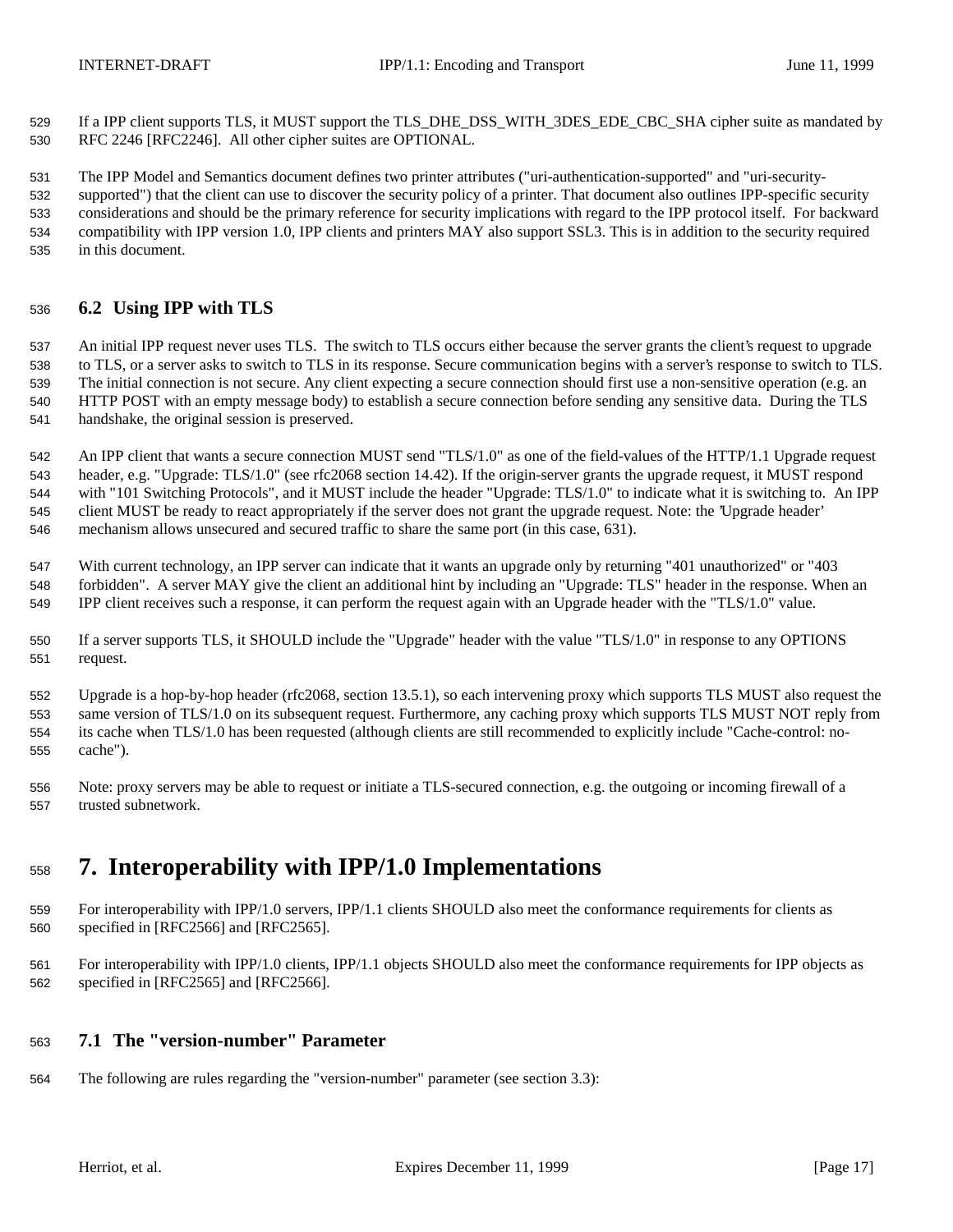If a IPP client supports TLS, it MUST support the TLS\_DHE\_DSS\_WITH\_3DES\_EDE\_CBC\_SHA cipher suite as mandated by RFC 2246 [RFC2246]. All other cipher suites are OPTIONAL.

 The IPP Model and Semantics document defines two printer attributes ("uri-authentication-supported" and "uri-security- supported") that the client can use to discover the security policy of a printer. That document also outlines IPP-specific security considerations and should be the primary reference for security implications with regard to the IPP protocol itself. For backward compatibility with IPP version 1.0, IPP clients and printers MAY also support SSL3. This is in addition to the security required in this document.

## **6.2 Using IPP with TLS**

 An initial IPP request never uses TLS. The switch to TLS occurs either because the server grants the client's request to upgrade to TLS, or a server asks to switch to TLS in its response. Secure communication begins with a server's response to switch to TLS. The initial connection is not secure. Any client expecting a secure connection should first use a non-sensitive operation (e.g. an HTTP POST with an empty message body) to establish a secure connection before sending any sensitive data. During the TLS handshake, the original session is preserved.

 An IPP client that wants a secure connection MUST send "TLS/1.0" as one of the field-values of the HTTP/1.1 Upgrade request header, e.g. "Upgrade: TLS/1.0" (see rfc2068 section 14.42). If the origin-server grants the upgrade request, it MUST respond with "101 Switching Protocols", and it MUST include the header "Upgrade: TLS/1.0" to indicate what it is switching to. An IPP client MUST be ready to react appropriately if the server does not grant the upgrade request. Note: the 'Upgrade header' mechanism allows unsecured and secured traffic to share the same port (in this case, 631).

 With current technology, an IPP server can indicate that it wants an upgrade only by returning "401 unauthorized" or "403 forbidden". A server MAY give the client an additional hint by including an "Upgrade: TLS" header in the response. When an IPP client receives such a response, it can perform the request again with an Upgrade header with the "TLS/1.0" value.

 If a server supports TLS, it SHOULD include the "Upgrade" header with the value "TLS/1.0" in response to any OPTIONS request.

 Upgrade is a hop-by-hop header (rfc2068, section 13.5.1), so each intervening proxy which supports TLS MUST also request the same version of TLS/1.0 on its subsequent request. Furthermore, any caching proxy which supports TLS MUST NOT reply from its cache when TLS/1.0 has been requested (although clients are still recommended to explicitly include "Cache-control: no-cache").

 Note: proxy servers may be able to request or initiate a TLS-secured connection, e.g. the outgoing or incoming firewall of a trusted subnetwork.

# **7. Interoperability with IPP/1.0 Implementations**

- For interoperability with IPP/1.0 servers, IPP/1.1 clients SHOULD also meet the conformance requirements for clients as specified in [RFC2566] and [RFC2565].
- For interoperability with IPP/1.0 clients, IPP/1.1 objects SHOULD also meet the conformance requirements for IPP objects as specified in [RFC2565] and [RFC2566].

## **7.1 The "version-number" Parameter**

The following are rules regarding the "version-number" parameter (see section 3.3):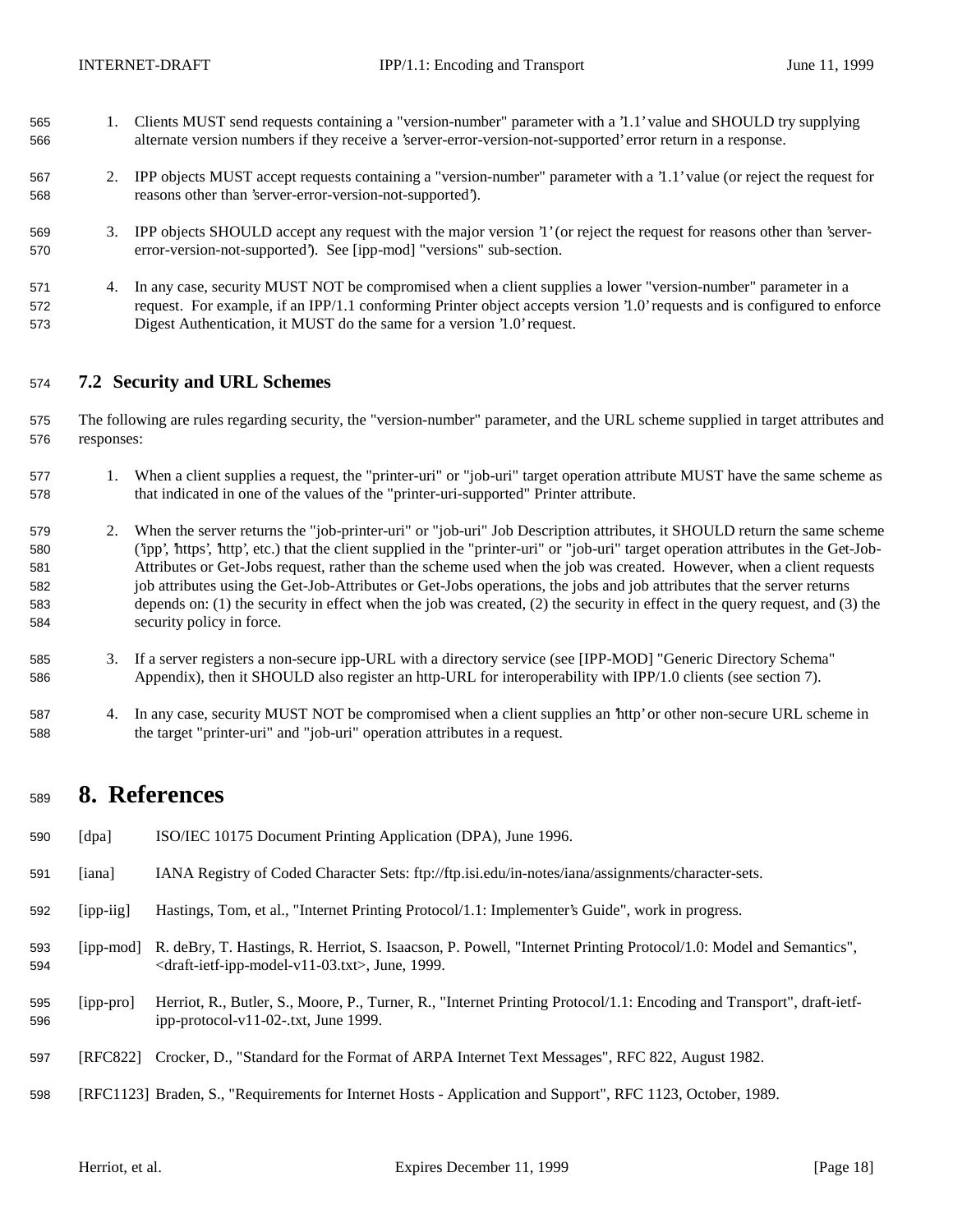- 1. Clients MUST send requests containing a "version-number" parameter with a '1.1' value and SHOULD try supplying alternate version numbers if they receive a 'server-error-version-not-supported' error return in a response.
- 2. IPP objects MUST accept requests containing a "version-number" parameter with a '1.1' value (or reject the request for reasons other than 'server-error-version-not-supported').
- 3. IPP objects SHOULD accept any request with the major version '1' (or reject the request for reasons other than 'server-error-version-not-supported'). See [ipp-mod] "versions" sub-section.
- 4. In any case, security MUST NOT be compromised when a client supplies a lower "version-number" parameter in a request. For example, if an IPP/1.1 conforming Printer object accepts version '1.0' requests and is configured to enforce Digest Authentication, it MUST do the same for a version '1.0' request.

## **7.2 Security and URL Schemes**

- The following are rules regarding security, the "version-number" parameter, and the URL scheme supplied in target attributes and responses:
- 1. When a client supplies a request, the "printer-uri" or "job-uri" target operation attribute MUST have the same scheme as that indicated in one of the values of the "printer-uri-supported" Printer attribute.
- 2. When the server returns the "job-printer-uri" or "job-uri" Job Description attributes, it SHOULD return the same scheme ('ipp', 'https', 'http', etc.) that the client supplied in the "printer-uri" or "job-uri" target operation attributes in the Get-Job- Attributes or Get-Jobs request, rather than the scheme used when the job was created. However, when a client requests job attributes using the Get-Job-Attributes or Get-Jobs operations, the jobs and job attributes that the server returns depends on: (1) the security in effect when the job was created, (2) the security in effect in the query request, and (3) the security policy in force.
- 3. If a server registers a non-secure ipp-URL with a directory service (see [IPP-MOD] "Generic Directory Schema" Appendix), then it SHOULD also register an http-URL for interoperability with IPP/1.0 clients (see section 7).
- 4. In any case, security MUST NOT be compromised when a client supplies an 'http' or other non-secure URL scheme in the target "printer-uri" and "job-uri" operation attributes in a request.

## **8. References**

- [dpa] ISO/IEC 10175 Document Printing Application (DPA), June 1996.
- [iana] IANA Registry of Coded Character Sets: ftp://ftp.isi.edu/in-notes/iana/assignments/character-sets.
- [ipp-iig] Hastings, Tom, et al., "Internet Printing Protocol/1.1: Implementer's Guide", work in progress.
- [ipp-mod] R. deBry, T. Hastings, R. Herriot, S. Isaacson, P. Powell, "Internet Printing Protocol/1.0: Model and Semantics", <draft-ietf-ipp-model-v11-03.txt>, June, 1999.
- [ipp-pro] Herriot, R., Butler, S., Moore, P., Turner, R., "Internet Printing Protocol/1.1: Encoding and Transport", draft-ietf-ipp-protocol-v11-02-.txt, June 1999.
- [RFC822] Crocker, D., "Standard for the Format of ARPA Internet Text Messages", RFC 822, August 1982.
- [RFC1123] Braden, S., "Requirements for Internet Hosts Application and Support", RFC 1123, October, 1989.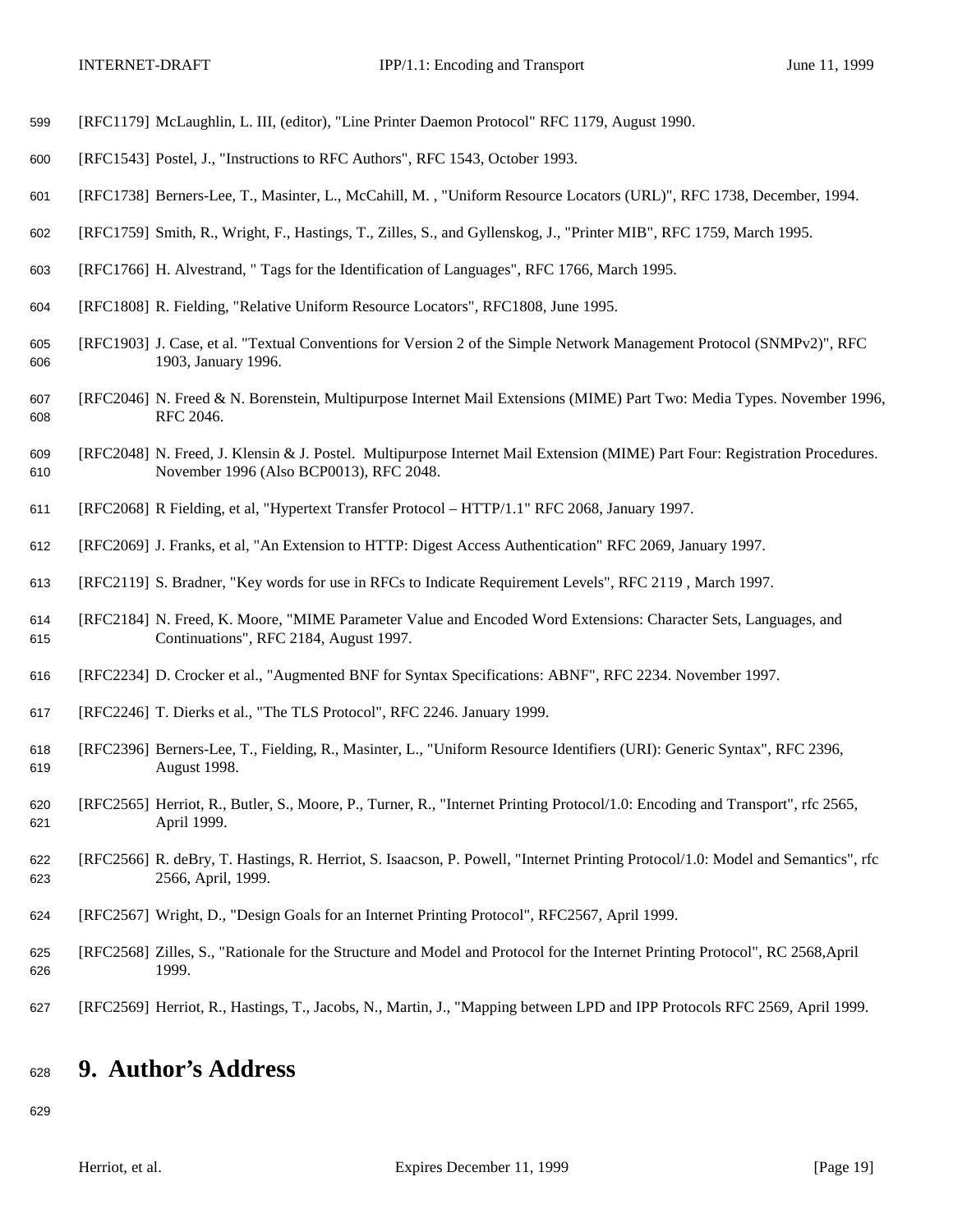- [RFC1179] McLaughlin, L. III, (editor), "Line Printer Daemon Protocol" RFC 1179, August 1990.
- [RFC1543] Postel, J., "Instructions to RFC Authors", RFC 1543, October 1993.
- [RFC1738] Berners-Lee, T., Masinter, L., McCahill, M. , "Uniform Resource Locators (URL)", RFC 1738, December, 1994.
- [RFC1759] Smith, R., Wright, F., Hastings, T., Zilles, S., and Gyllenskog, J., "Printer MIB", RFC 1759, March 1995.
- [RFC1766] H. Alvestrand, " Tags for the Identification of Languages", RFC 1766, March 1995.
- [RFC1808] R. Fielding, "Relative Uniform Resource Locators", RFC1808, June 1995.
- [RFC1903] J. Case, et al. "Textual Conventions for Version 2 of the Simple Network Management Protocol (SNMPv2)", RFC 1903, January 1996.
- [RFC2046] N. Freed & N. Borenstein, Multipurpose Internet Mail Extensions (MIME) Part Two: Media Types. November 1996, RFC 2046.
- [RFC2048] N. Freed, J. Klensin & J. Postel. Multipurpose Internet Mail Extension (MIME) Part Four: Registration Procedures. November 1996 (Also BCP0013), RFC 2048.
- [RFC2068] R Fielding, et al, "Hypertext Transfer Protocol HTTP/1.1" RFC 2068, January 1997.
- [RFC2069] J. Franks, et al, "An Extension to HTTP: Digest Access Authentication" RFC 2069, January 1997.
- [RFC2119] S. Bradner, "Key words for use in RFCs to Indicate Requirement Levels", RFC 2119 , March 1997.
- [RFC2184] N. Freed, K. Moore, "MIME Parameter Value and Encoded Word Extensions: Character Sets, Languages, and Continuations", RFC 2184, August 1997.
- [RFC2234] D. Crocker et al., "Augmented BNF for Syntax Specifications: ABNF", RFC 2234. November 1997.
- [RFC2246] T. Dierks et al., "The TLS Protocol", RFC 2246. January 1999.
- [RFC2396] Berners-Lee, T., Fielding, R., Masinter, L., "Uniform Resource Identifiers (URI): Generic Syntax", RFC 2396, August 1998.
- [RFC2565] Herriot, R., Butler, S., Moore, P., Turner, R., "Internet Printing Protocol/1.0: Encoding and Transport", rfc 2565, April 1999.
- [RFC2566] R. deBry, T. Hastings, R. Herriot, S. Isaacson, P. Powell, "Internet Printing Protocol/1.0: Model and Semantics", rfc 2566, April, 1999.
- [RFC2567] Wright, D., "Design Goals for an Internet Printing Protocol", RFC2567, April 1999.
- [RFC2568] Zilles, S., "Rationale for the Structure and Model and Protocol for the Internet Printing Protocol", RC 2568,April 1999.
- [RFC2569] Herriot, R., Hastings, T., Jacobs, N., Martin, J., "Mapping between LPD and IPP Protocols RFC 2569, April 1999.

# **9. Author's Address**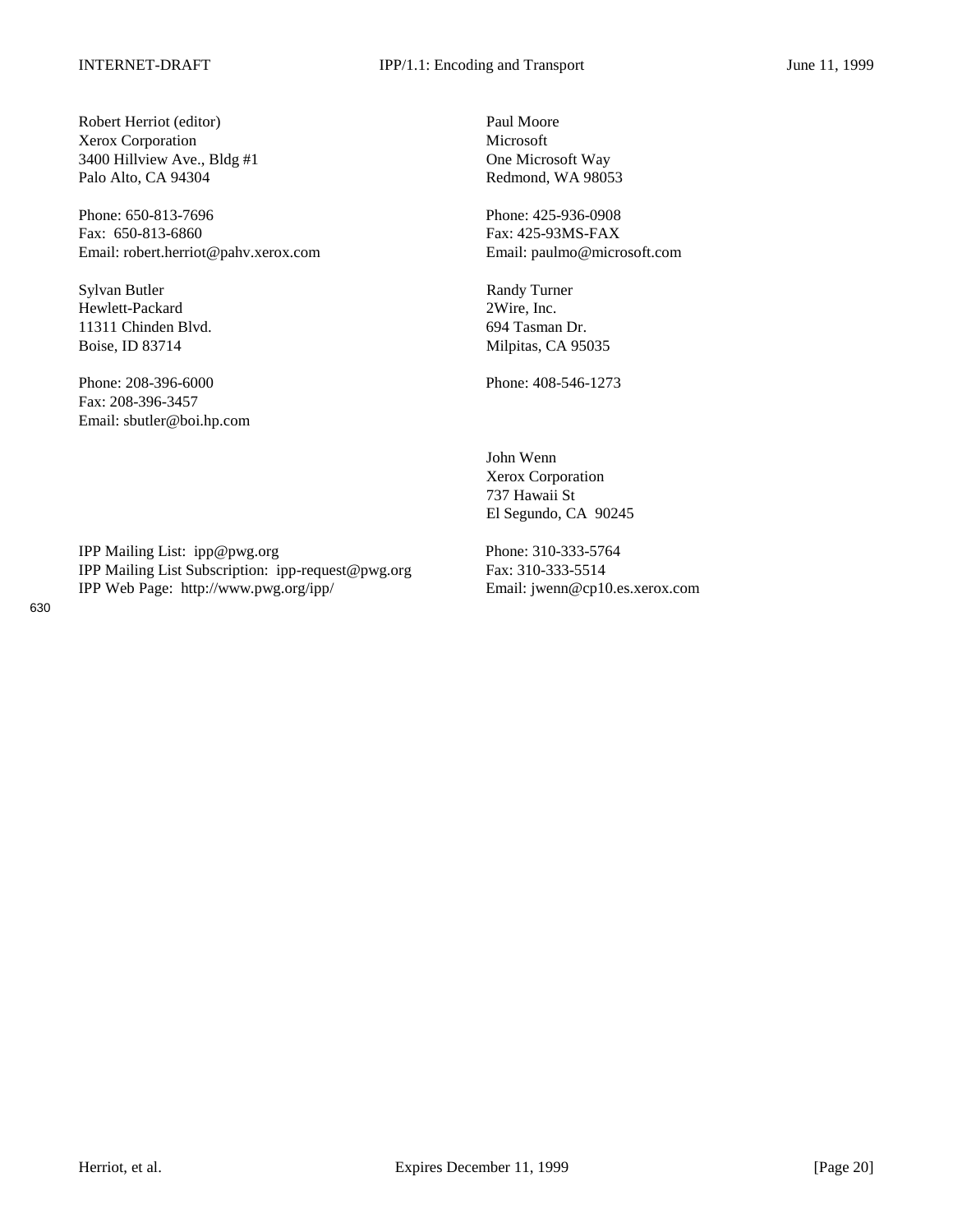Robert Herriot (editor) Paul Moore Xerox Corporation Microsoft 3400 Hillview Ave., Bldg #1 One Microsoft Way Palo Alto, CA 94304 Redmond, WA 98053

Phone: 650-813-7696 Phone: 425-936-0908 Fax: 650-813-6860 Fax: 425-93MS-FAX Email: robert.herriot@pahv.xerox.com Email: paulmo@microsoft.com

Sylvan Butler Randy Turner Hewlett-Packard 2Wire, Inc. 11311 Chinden Blvd. 694 Tasman Dr. Boise, ID 83714 Milpitas, CA 95035

Phone: 208-396-6000 Phone: 408-546-1273 Fax: 208-396-3457 Email: sbutler@boi.hp.com

IPP Mailing List: ipp@pwg.org Phone: 310-333-5764 IPP Mailing List Subscription: ipp-request@pwg.org Fax: 310-333-5514 IPP Web Page: http://www.pwg.org/ipp/ Email: jwenn@cp10.es.xerox.com

John Wenn Xerox Corporation 737 Hawaii St El Segundo, CA 90245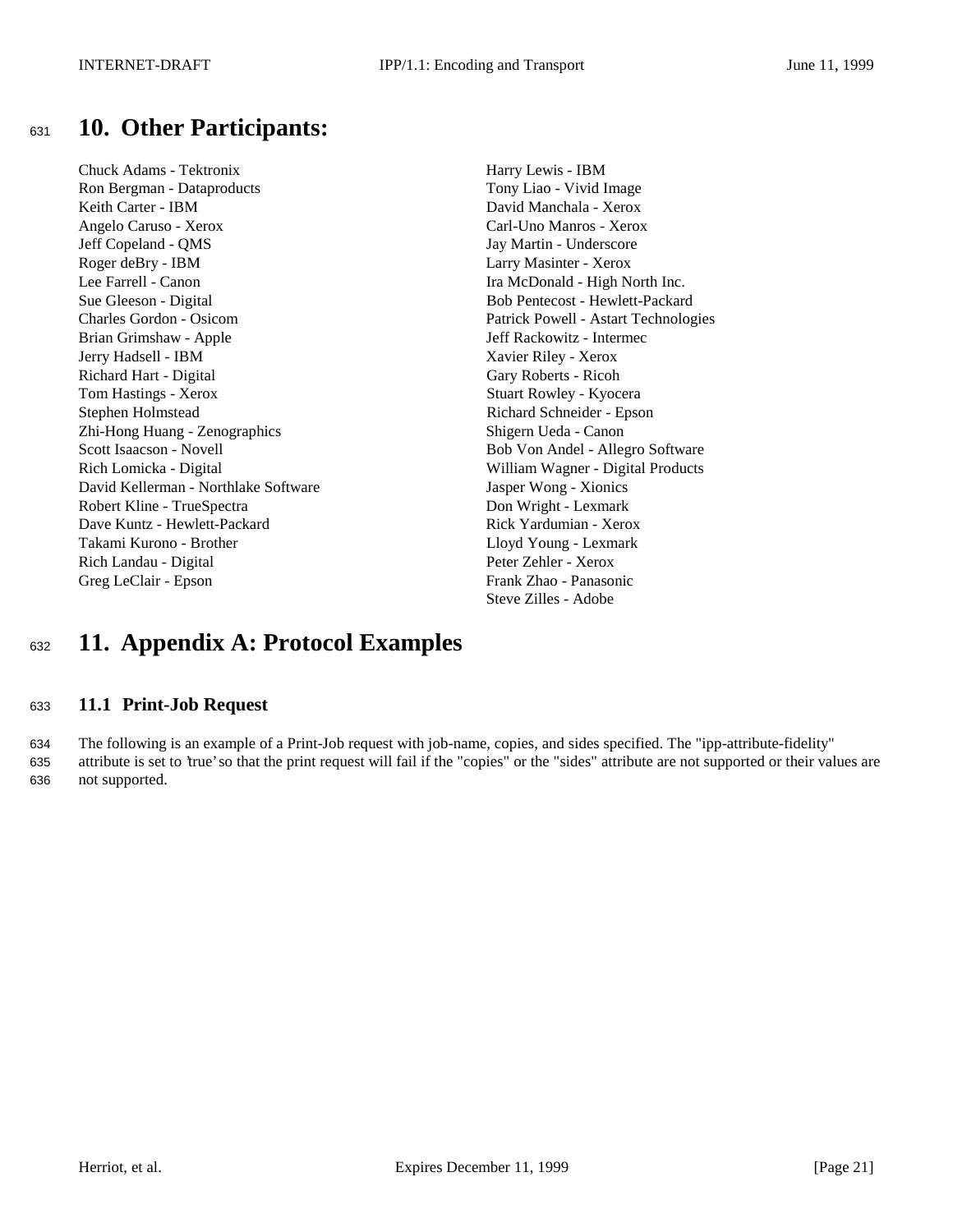## <sup>631</sup> **10. Other Participants:**

Chuck Adams - Tektronix Harry Lewis - IBM Ron Bergman - Dataproducts Tony Liao - Vivid Image Keith Carter - IBM David Manchala - Xerox Angelo Caruso - Xerox Carl-Uno Manros - Xerox Jeff Copeland - QMS Jay Martin - Underscore Roger deBry - IBM Larry Masinter - Xerox Lee Farrell - Canon Ira McDonald - High North Inc. Sue Gleeson - Digital Bob Pentecost - Hewlett-Packard Charles Gordon - Osicom Patrick Powell - Astart Technologies Brian Grimshaw - Apple Jeff Rackowitz - Intermec Jerry Hadsell - IBM Xavier Riley - Xerox Richard Hart - Digital Gary Roberts - Ricoh Tom Hastings - Xerox Stuart Rowley - Kyocera Stephen Holmstead Richard Schneider - Epson Zhi-Hong Huang - Zenographics Shigern Ueda - Canon Scott Isaacson - Novell Bob Von Andel - Allegro Software Rich Lomicka - Digital William Wagner - Digital Products David Kellerman - Northlake Software Jasper Wong - Xionics Robert Kline - TrueSpectra Don Wright - Lexmark Dave Kuntz - Hewlett-Packard Rick Yardumian - Xerox Takami Kurono - Brother Lloyd Young - Lexmark Rich Landau - Digital Peter Zehler - Xerox Greg LeClair - Epson Frank Zhao - Panasonic

Steve Zilles - Adobe

# <sup>632</sup> **11. Appendix A: Protocol Examples**

## <sup>633</sup> **11.1 Print-Job Request**

634 The following is an example of a Print-Job request with job-name, copies, and sides specified. The "ipp-attribute-fidelity" 635 attribute is set to 'true' so that the print request will fail if the "copies" or the "sides" attribute are not supported or their values are 636 not supported.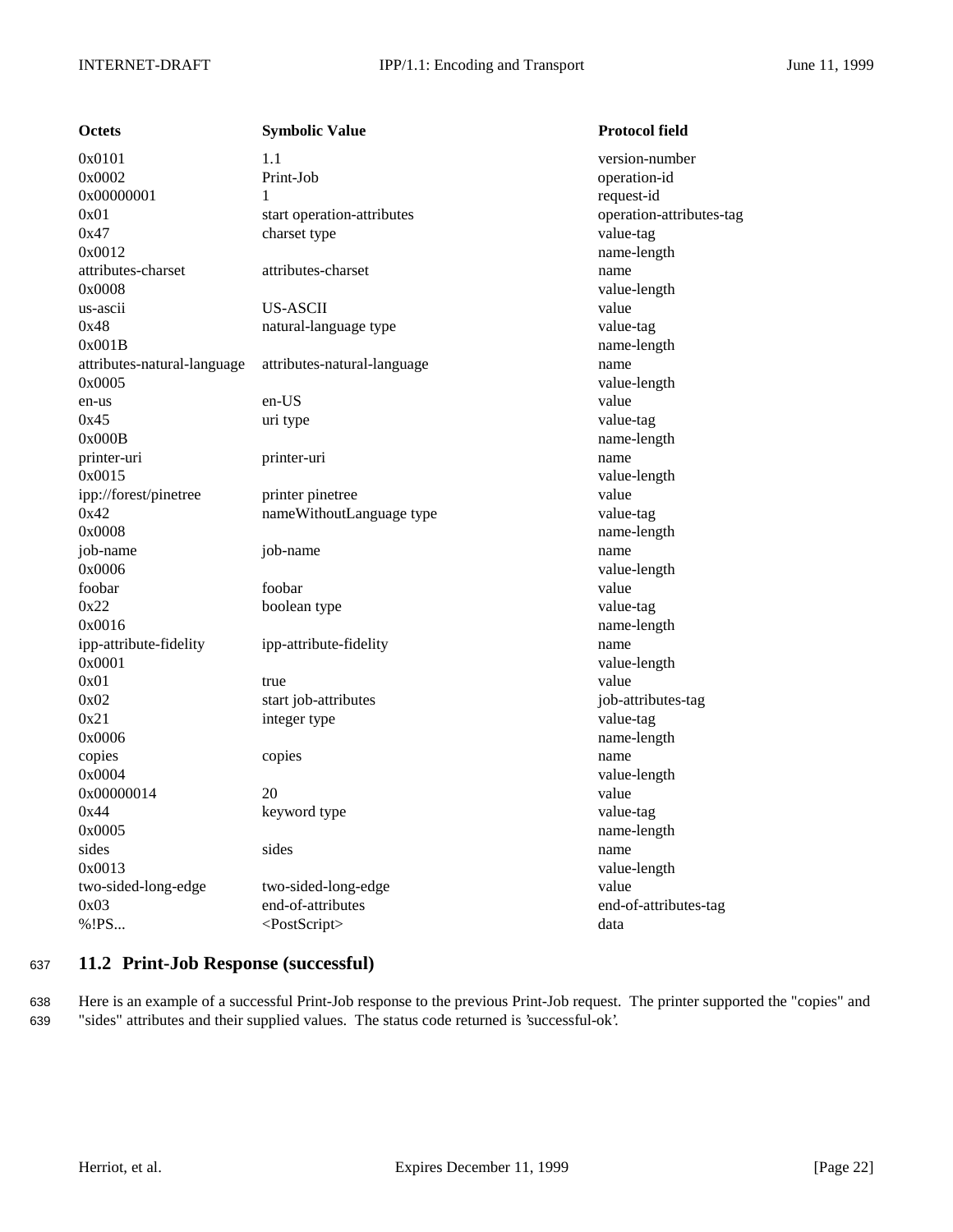| <b>Octets</b>               | <b>Symbolic Value</b>       | <b>Protocol field</b>    |
|-----------------------------|-----------------------------|--------------------------|
| 0x0101                      | 1.1                         | version-number           |
| 0x0002                      | Print-Job                   | operation-id             |
| 0x00000001                  | 1                           | request-id               |
| 0x01                        | start operation-attributes  | operation-attributes-tag |
| 0x47                        | charset type                | value-tag                |
| 0x0012                      |                             | name-length              |
| attributes-charset          | attributes-charset          | name                     |
| 0x0008                      |                             | value-length             |
| us-ascii                    | US-ASCII                    | value                    |
| 0x48                        | natural-language type       | value-tag                |
| 0x001B                      |                             | name-length              |
| attributes-natural-language | attributes-natural-language | name                     |
| 0x0005                      |                             | value-length             |
| en-us                       | en-US                       | value                    |
| 0x45                        | uri type                    | value-tag                |
| 0x000B                      |                             | name-length              |
| printer-uri                 | printer-uri                 | name                     |
| 0x0015                      |                             | value-length             |
| ipp://forest/pinetree       | printer pinetree            | value                    |
| 0x42                        | nameWithoutLanguage type    | value-tag                |
| 0x0008                      |                             | name-length              |
| job-name                    | job-name                    | name                     |
| 0x0006                      |                             | value-length             |
| foobar                      | foobar                      | value                    |
| 0x22                        | boolean type                | value-tag                |
| 0x0016                      |                             | name-length              |
| ipp-attribute-fidelity      | ipp-attribute-fidelity      | name                     |
| 0x0001                      |                             | value-length             |
| 0x01                        | true                        | value                    |
| 0x02                        | start job-attributes        | job-attributes-tag       |
| 0x21                        | integer type                | value-tag                |
| 0x0006                      |                             | name-length              |
| copies                      | copies                      | name                     |
| 0x0004                      |                             | value-length             |
| 0x00000014                  | 20                          | value                    |
| 0x44                        | keyword type                | value-tag                |
| 0x0005                      |                             | name-length              |
| sides                       | sides                       | name                     |
| 0x0013                      |                             | value-length             |
| two-sided-long-edge         | two-sided-long-edge         | value                    |
| 0x03                        | end-of-attributes           | end-of-attributes-tag    |
| %!PS                        | <postscript></postscript>   | data                     |

## <sup>637</sup> **11.2 Print-Job Response (successful)**

638 Here is an example of a successful Print-Job response to the previous Print-Job request. The printer supported the "copies" and 639 "sides" attributes and their supplied values. The status code returned is 'successful-ok'.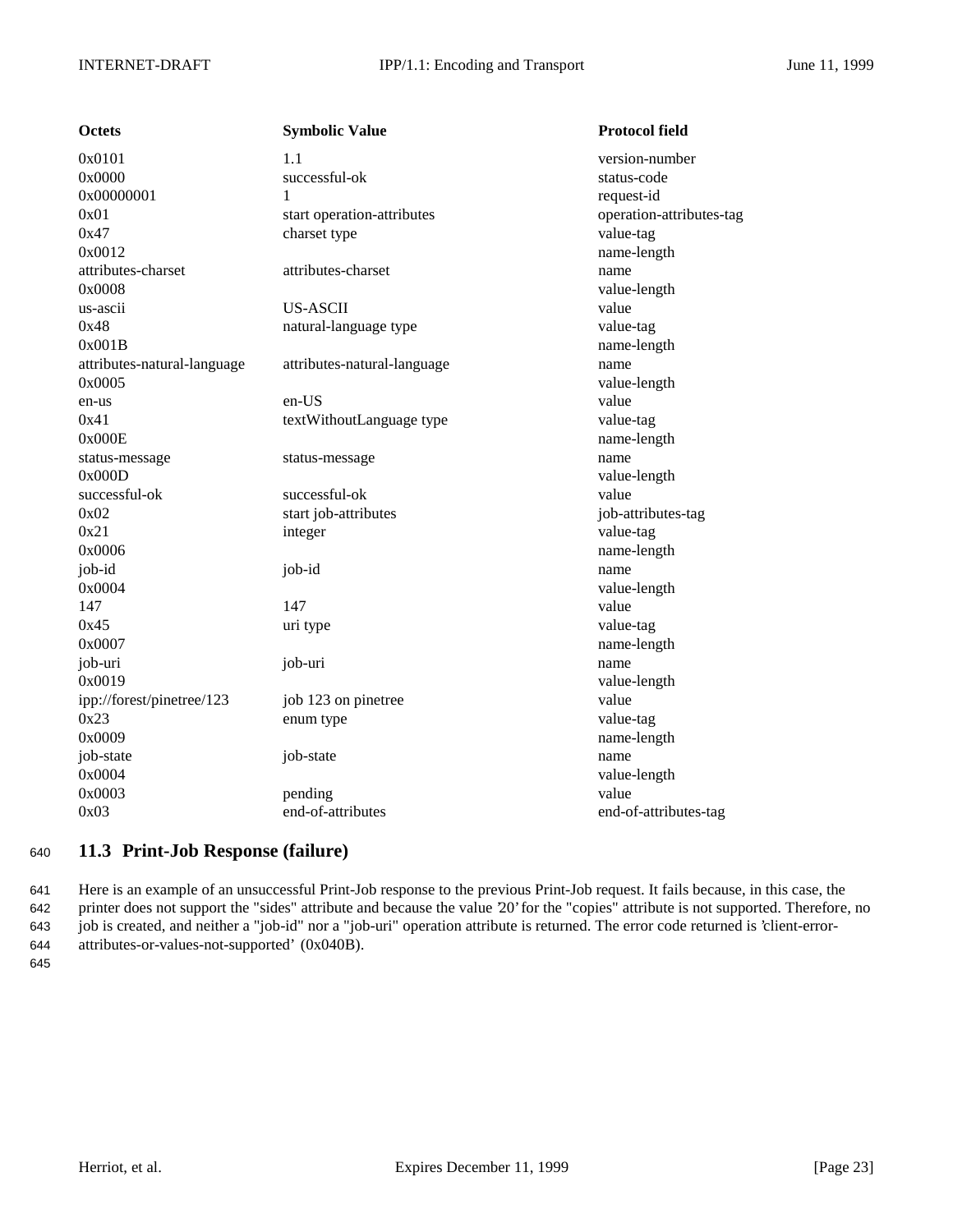| <b>Octets</b>               | <b>Symbolic Value</b>       | <b>Protocol field</b>    |
|-----------------------------|-----------------------------|--------------------------|
| 0x0101                      | 1.1                         | version-number           |
| 0x0000                      | successful-ok               | status-code              |
| 0x00000001                  | 1                           | request-id               |
| 0x01                        | start operation-attributes  | operation-attributes-tag |
| 0x47                        | charset type                | value-tag                |
| 0x0012                      |                             | name-length              |
| attributes-charset          | attributes-charset          | name                     |
| 0x0008                      |                             | value-length             |
| us-ascii                    | <b>US-ASCII</b>             | value                    |
| 0x48                        | natural-language type       | value-tag                |
| 0x001B                      |                             | name-length              |
| attributes-natural-language | attributes-natural-language | name                     |
| 0x0005                      |                             | value-length             |
| en-us                       | en-US                       | value                    |
| 0x41                        | textWithoutLanguage type    | value-tag                |
| 0x000E                      |                             | name-length              |
| status-message              | status-message              | name                     |
| 0x000D                      |                             | value-length             |
| successful-ok               | successful-ok               | value                    |
| 0x02                        | start job-attributes        | job-attributes-tag       |
| 0x21                        | integer                     | value-tag                |
| 0x0006                      |                             | name-length              |
| job-id                      | job-id                      | name                     |
| 0x0004                      |                             | value-length             |
| 147                         | 147                         | value                    |
| 0x45                        | uri type                    | value-tag                |
| 0x0007                      |                             | name-length              |
| job-uri                     | job-uri                     | name                     |
| 0x0019                      |                             | value-length             |
| ipp://forest/pinetree/123   | job 123 on pinetree         | value                    |
| 0x23                        | enum type                   | value-tag                |
| 0x0009                      |                             | name-length              |
| job-state                   | job-state                   | name                     |
| 0x0004                      |                             | value-length             |
| 0x0003                      | pending                     | value                    |
| 0x03                        | end-of-attributes           | end-of-attributes-tag    |

## <sup>640</sup> **11.3 Print-Job Response (failure)**

 Here is an example of an unsuccessful Print-Job response to the previous Print-Job request. It fails because, in this case, the printer does not support the "sides" attribute and because the value '20' for the "copies" attribute is not supported. Therefore, no job is created, and neither a "job-id" nor a "job-uri" operation attribute is returned. The error code returned is 'client-error-attributes-or-values-not-supported' (0x040B).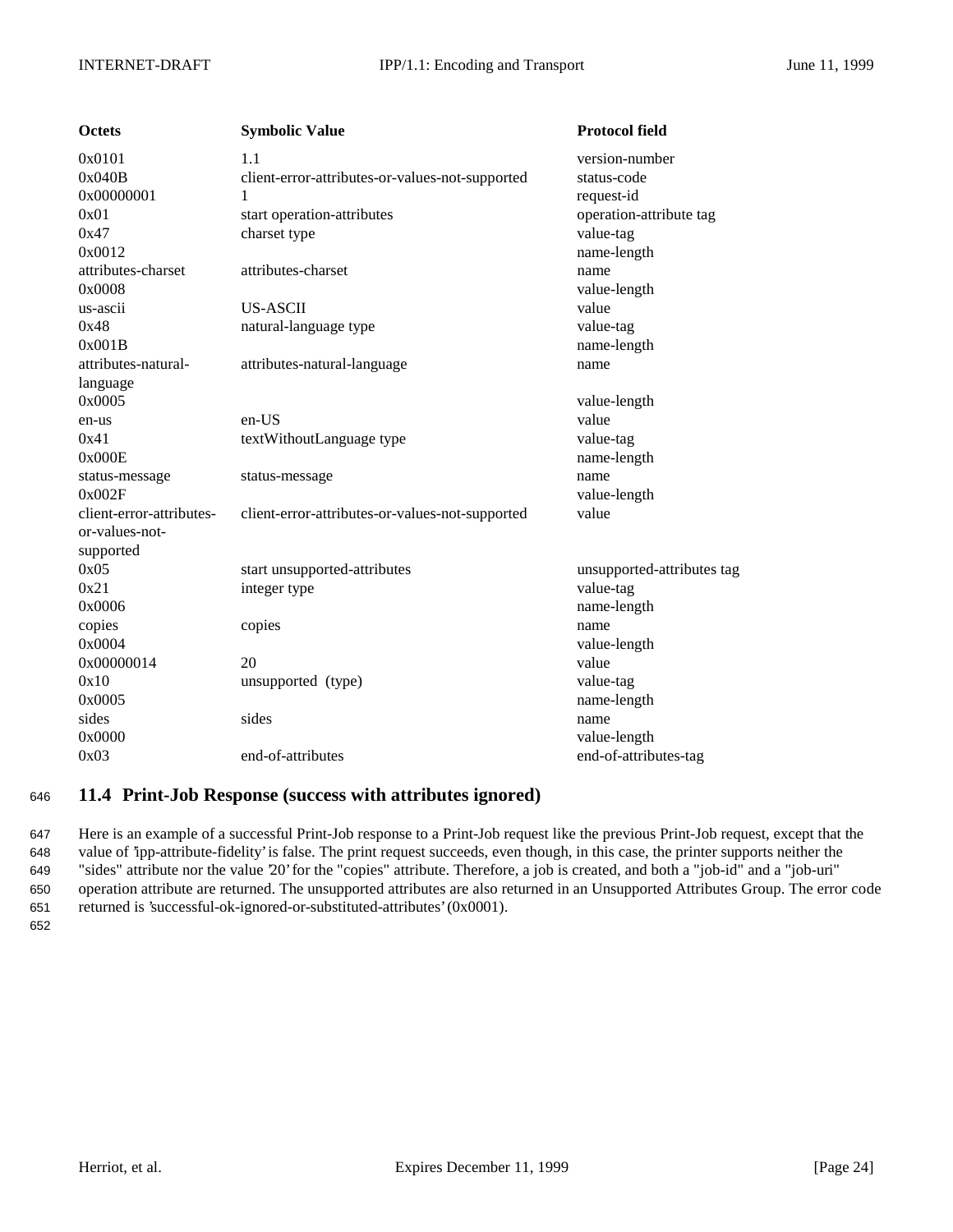| <b>Octets</b>            | <b>Symbolic Value</b>                           | <b>Protocol field</b>      |
|--------------------------|-------------------------------------------------|----------------------------|
| 0x0101                   | 1.1                                             | version-number             |
| 0x040B                   | client-error-attributes-or-values-not-supported | status-code                |
| 0x00000001               | 1                                               | request-id                 |
| 0x01                     | start operation-attributes                      | operation-attribute tag    |
| 0x47                     | charset type                                    | value-tag                  |
| 0x0012                   |                                                 | name-length                |
| attributes-charset       | attributes-charset                              | name                       |
| 0x0008                   |                                                 | value-length               |
| us-ascii                 | <b>US-ASCII</b>                                 | value                      |
| 0x48                     | natural-language type                           | value-tag                  |
| 0x001B                   |                                                 | name-length                |
| attributes-natural-      | attributes-natural-language                     | name                       |
| language                 |                                                 |                            |
| 0x0005                   |                                                 | value-length               |
| en-us                    | $en-US$                                         | value                      |
| 0x41                     | textWithoutLanguage type                        | value-tag                  |
| 0x000E                   |                                                 | name-length                |
| status-message           | status-message                                  | name                       |
| 0x002F                   |                                                 | value-length               |
| client-error-attributes- | client-error-attributes-or-values-not-supported | value                      |
| or-values-not-           |                                                 |                            |
| supported                |                                                 |                            |
| 0x05                     | start unsupported-attributes                    | unsupported-attributes tag |
| 0x21                     | integer type                                    | value-tag                  |
| 0x0006                   |                                                 | name-length                |
| copies                   | copies                                          | name                       |
| 0x0004                   |                                                 | value-length               |
| 0x00000014               | 20                                              | value                      |
| 0x10                     | unsupported (type)                              | value-tag                  |
| 0x0005                   |                                                 | name-length                |
| sides                    | sides                                           | name                       |
| 0x0000                   |                                                 | value-length               |
| 0x03                     | end-of-attributes                               | end-of-attributes-tag      |

## <sup>646</sup> **11.4 Print-Job Response (success with attributes ignored)**

 Here is an example of a successful Print-Job response to a Print-Job request like the previous Print-Job request, except that the value of 'ipp-attribute-fidelity' is false. The print request succeeds, even though, in this case, the printer supports neither the "sides" attribute nor the value '20' for the "copies" attribute. Therefore, a job is created, and both a "job-id" and a "job-uri" operation attribute are returned. The unsupported attributes are also returned in an Unsupported Attributes Group. The error code returned is 'successful-ok-ignored-or-substituted-attributes' (0x0001).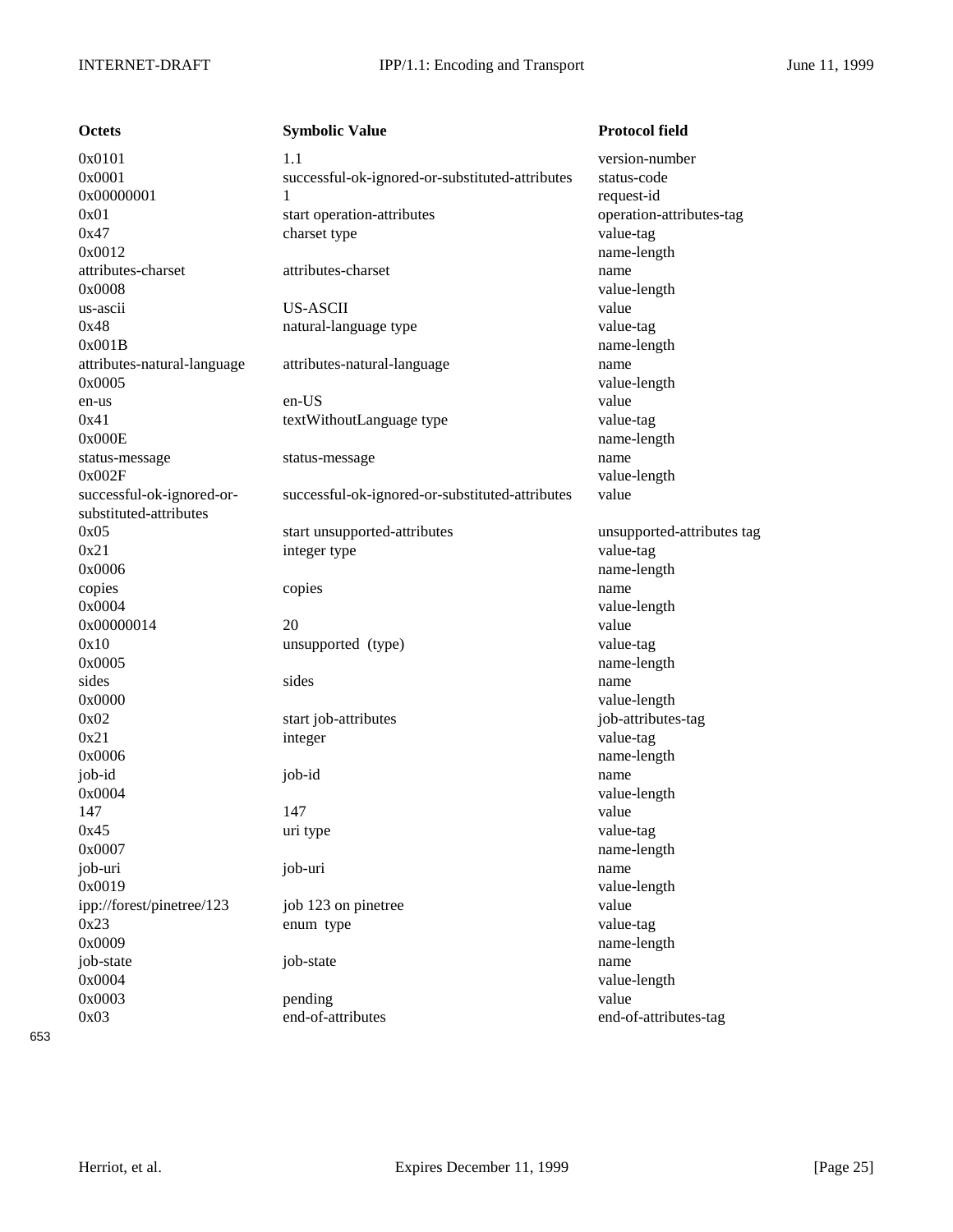| Octets                      |
|-----------------------------|
| 0x0101                      |
| 0x0001                      |
| 0x00000001                  |
| 0x01                        |
| 0x47                        |
| 0x0012                      |
| attributes-charset          |
| 0x0008                      |
| us-ascii                    |
| 0x48                        |
| 0x001B                      |
| attributes-natural-language |
| 0x0005                      |
|                             |
| en-us<br>0x41               |
|                             |
| 0x000E                      |
| status-message              |
| 0x002F                      |
| successful-ok-ignored-or-   |
| substituted-attributes      |
| 0x05                        |
| 0x21                        |
| 0x0006                      |
| copies                      |
| 0x0004                      |
| 0x00000014                  |
| 0x10                        |
| 0x0005                      |
| sides                       |
| 0x0000                      |
| 0x02                        |
| 0x21                        |
| 0x0006                      |
| job-id                      |
| 0x0004                      |
| 147                         |
| 0x45                        |
| 0x0007                      |
| job-uri                     |
| 0x0019                      |
| ipp://forest/pinetree/123   |
| 0x23                        |
| 0x0009                      |
| job-state                   |
| 0x0004                      |
| 0x0003                      |
| $\sim$                      |

**Combolic Value Protocol field** 1.1 version-number successful-ok-ignored-or-substituted-attributes status-code 1 request-id start operation-attributes operation-attributes-tag charset type value-tag attributes-charset attributes-charset name us-ascii US-ASCII value natural-language type value-tag attributes-natural-language attributes-natural-language name en-us en-US value textWithoutLanguage type value-tag status-message status-message name successful-ok-ignored-or-substituted-attributes value start unsupported-attributes unsupported-attributes tag integer type value-tag copies copies copies and copies and copies and copies and copies and copies and copies and copies and copies and copies and copies and copies and copies and copies and copies and copies and copies and copies and copies and 0x00000014 20 value unsupported (type) value-tag sides sides name start job-attributes is a start job-attributes-tag 0x21 integer value-tag job-id job-id name 147 value 0x45 uri type value-tag job-uri job-uri name job 123 on pinetree value enum type value-tag job-state job-state name 0x0003 pending value 0x03 end-of-attributes end-of-attributes-tag

name-length value-length name-length value-length name-length value-length name-length value-length name-length value-length name-length value-length name-length value-length name-length value-length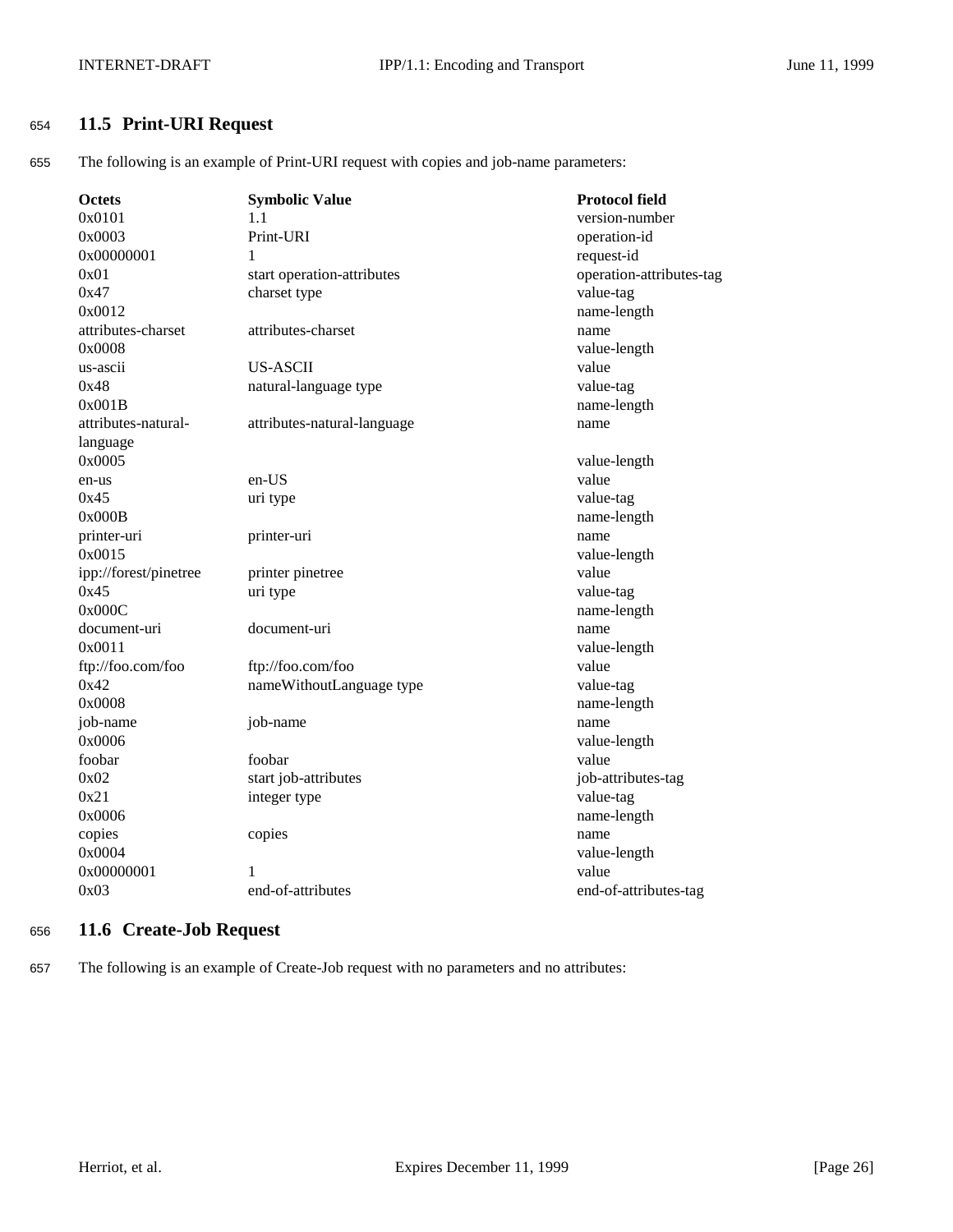## <sup>654</sup> **11.5 Print-URI Request**

655 The following is an example of Print-URI request with copies and job-name parameters:

| <b>Octets</b>         | <b>Symbolic Value</b>       | <b>Protocol field</b>    |
|-----------------------|-----------------------------|--------------------------|
| 0x0101                | 1.1                         | version-number           |
| 0x0003                | Print-URI                   | operation-id             |
| 0x00000001            | 1                           | request-id               |
| 0x01                  | start operation-attributes  | operation-attributes-tag |
| 0x47                  | charset type                | value-tag                |
| 0x0012                |                             | name-length              |
| attributes-charset    | attributes-charset          | name                     |
| 0x0008                |                             | value-length             |
| us-ascii              | <b>US-ASCII</b>             | value                    |
| 0x48                  | natural-language type       | value-tag                |
| 0x001B                |                             | name-length              |
| attributes-natural-   | attributes-natural-language | name                     |
| language              |                             |                          |
| 0x0005                |                             | value-length             |
| en-us                 | en-US                       | value                    |
| 0x45                  | uri type                    | value-tag                |
| 0x000B                |                             | name-length              |
| printer-uri           | printer-uri                 | name                     |
| 0x0015                |                             | value-length             |
| ipp://forest/pinetree | printer pinetree            | value                    |
| 0x45                  | uri type                    | value-tag                |
| 0x000C                |                             | name-length              |
| document-uri          | document-uri                | name                     |
| 0x0011                |                             | value-length             |
| ftp://foo.com/foo     | ftp://foo.com/foo           | value                    |
| 0x42                  | nameWithoutLanguage type    | value-tag                |
| 0x0008                |                             | name-length              |
| job-name              | job-name                    | name                     |
| 0x0006                |                             | value-length             |
| foobar                | foobar                      | value                    |
| 0x02                  | start job-attributes        | job-attributes-tag       |
| 0x21                  | integer type                | value-tag                |
| 0x0006                |                             | name-length              |
| copies                | copies                      | name                     |
| 0x0004                |                             | value-length             |
| 0x00000001            | 1                           | value                    |
| 0x03                  | end-of-attributes           | end-of-attributes-tag    |
|                       |                             |                          |

## <sup>656</sup> **11.6 Create-Job Request**

657 The following is an example of Create-Job request with no parameters and no attributes: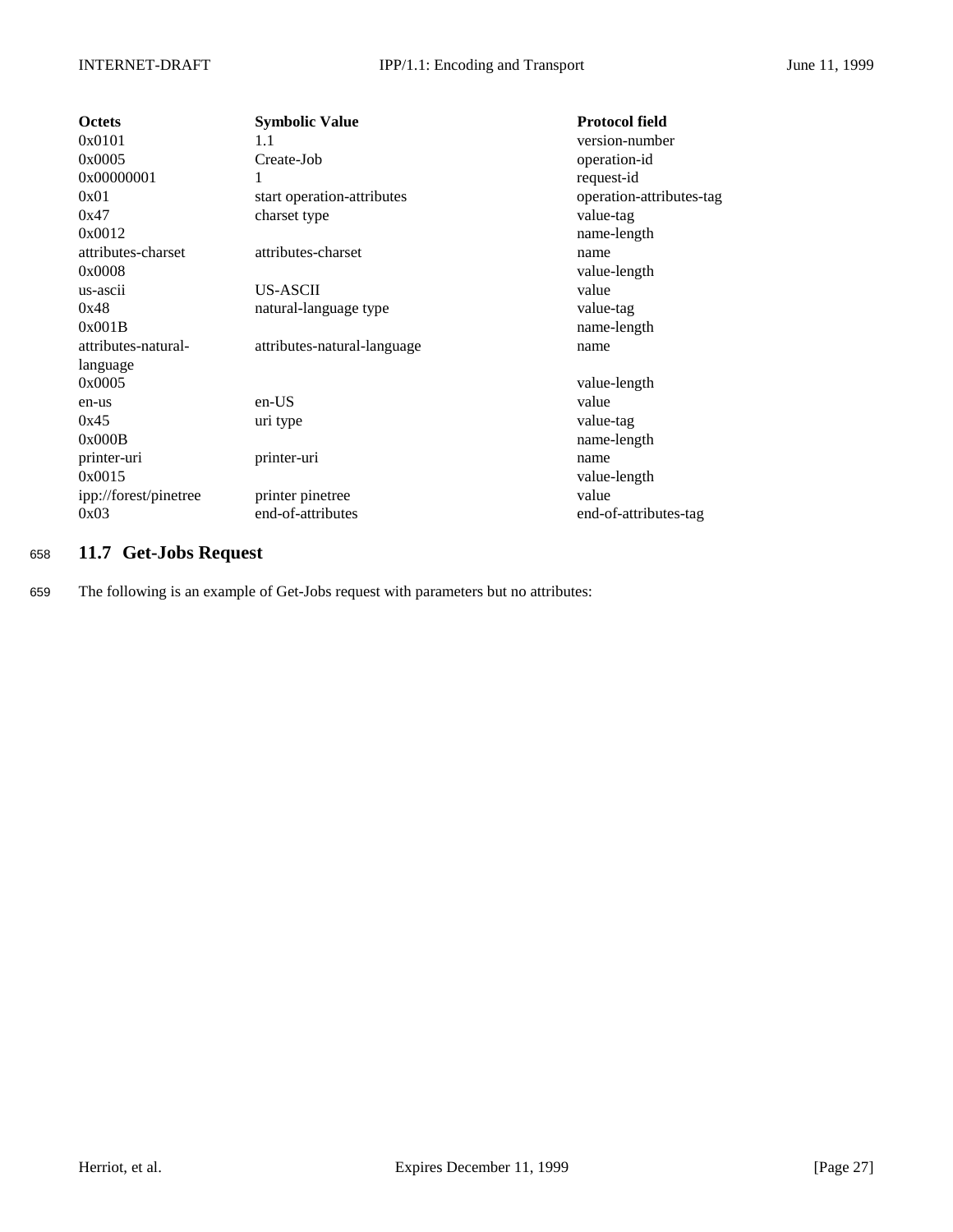| <b>Octets</b>         | <b>Symbolic Value</b>       | <b>Protocol field</b>    |
|-----------------------|-----------------------------|--------------------------|
| 0x0101                | 1.1                         | version-number           |
| 0x0005                | Create-Job                  | operation-id             |
| 0x00000001            | 1                           | request-id               |
| 0x01                  | start operation-attributes  | operation-attributes-tag |
| 0x47                  | charset type                | value-tag                |
| 0x0012                |                             | name-length              |
| attributes-charset    | attributes-charset          | name                     |
| 0x0008                |                             | value-length             |
| us-ascii              | US-ASCII                    | value                    |
| 0x48                  | natural-language type       | value-tag                |
| 0x001B                |                             | name-length              |
| attributes-natural-   | attributes-natural-language | name                     |
| language              |                             |                          |
| 0x0005                |                             | value-length             |
| en-us                 | $en-US$                     | value                    |
| 0x45                  | uri type                    | value-tag                |
| 0x000B                |                             | name-length              |
| printer-uri           | printer-uri                 | name                     |
| 0x0015                |                             | value-length             |
| ipp://forest/pinetree | printer pinetree            | value                    |
| 0x03                  | end-of-attributes           | end-of-attributes-tag    |

## <sup>658</sup> **11.7 Get-Jobs Request**

659 The following is an example of Get-Jobs request with parameters but no attributes: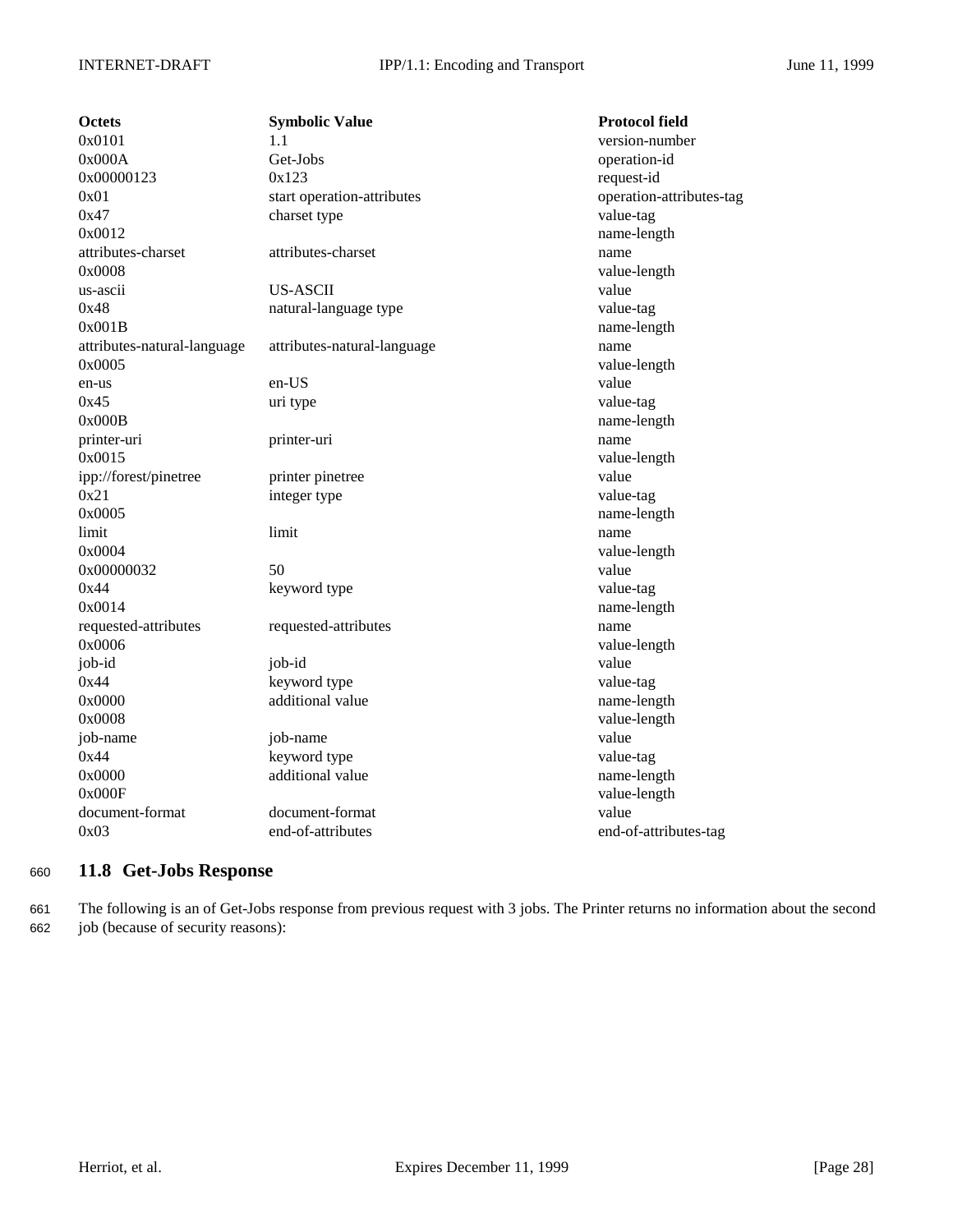| Octets                      | <b>Symbolic Value</b>       | <b>Protocol field</b>    |
|-----------------------------|-----------------------------|--------------------------|
| 0x0101                      | 1.1                         | version-number           |
| 0x000A                      | Get-Jobs                    | operation-id             |
| 0x00000123                  | 0x123                       | request-id               |
| 0x01                        | start operation-attributes  | operation-attributes-tag |
| 0x47                        | charset type                | value-tag                |
| 0x0012                      |                             | name-length              |
| attributes-charset          | attributes-charset          | name                     |
| 0x0008                      |                             | value-length             |
| us-ascii                    | <b>US-ASCII</b>             | value                    |
| 0x48                        | natural-language type       | value-tag                |
| 0x001B                      |                             | name-length              |
| attributes-natural-language | attributes-natural-language | name                     |
| 0x0005                      |                             | value-length             |
| en-us                       | en-US                       | value                    |
| 0x45                        | uri type                    | value-tag                |
| 0x000B                      |                             | name-length              |
| printer-uri                 | printer-uri                 | name                     |
| 0x0015                      |                             | value-length             |
| ipp://forest/pinetree       | printer pinetree            | value                    |
| 0x21                        | integer type                | value-tag                |
| 0x0005                      |                             | name-length              |
| limit                       | limit                       | name                     |
| 0x0004                      |                             | value-length             |
| 0x00000032                  | 50                          | value                    |
| 0x44                        | keyword type                | value-tag                |
| 0x0014                      |                             | name-length              |
| requested-attributes        | requested-attributes        | name                     |
| 0x0006                      |                             | value-length             |
| job-id                      | job-id                      | value                    |
| 0x44                        | keyword type                | value-tag                |
| 0x0000                      | additional value            | name-length              |
| 0x0008                      |                             | value-length             |
| job-name                    | job-name                    | value                    |
| 0x44                        | keyword type                | value-tag                |
| 0x0000                      | additional value            | name-length              |
| 0x000F                      |                             | value-length             |
| document-format             | document-format             | value                    |
| 0x03                        | end-of-attributes           | end-of-attributes-tag    |

## <sup>660</sup> **11.8 Get-Jobs Response**

661 The following is an of Get-Jobs response from previous request with 3 jobs. The Printer returns no information about the second 662 job (because of security reasons):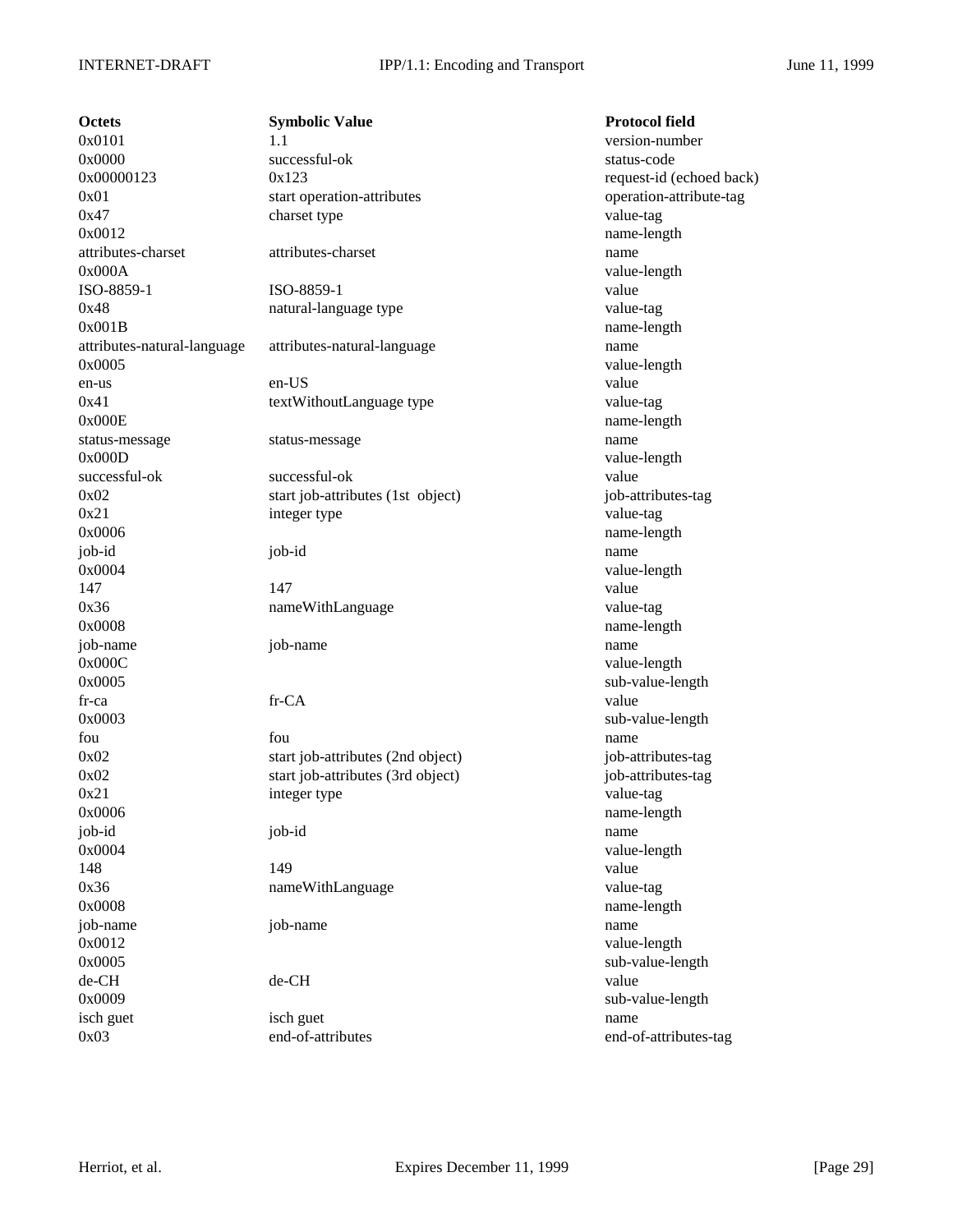**Octets Symbolic Value Protocol field**  $0x0101$  1.1 version-number 0x0000 successful-ok status-code  $0x00000123$   $0x123$  request-id (echoed back) 0x01 start operation-attributes operation-attribute-tag 0x47 charset type charset type value-tag 0x0012 name-length attributes-charset attributes-charset name 0x000A value-length ISO-8859-1 ISO-8859-1 value 0x48 natural-language type value-tag 0x001B name-length attributes-natural-language attributes-natural-language name 0x0005 value-length en-us en-US value 0x41 textWithoutLanguage type value-tag 0x000E name-length status-message status-message name 0x000D value-length successful-ok successful-ok value 0x02 start job-attributes (1st object) job-attributes-tag 0x21 integer type value-tag 0x0006 name-length job-id job-id name 0x0004 value-length 147 value 0x36 nameWithLanguage value-tag 0x0008 name-length job-name job-name name 0x000C value-length 0x0005 sub-value-length fr-ca fr-CA value 0x0003 sub-value-length fou **fou fou fou have fou have have have have have have have have h** 0x02 start job-attributes (2nd object) job-attributes-tag 0x02 start job-attributes (3rd object) job-attributes-tag 0x21 integer type value-tag 0x0006 name-length job-id job-id name 0x0004 value-length 148 and 149 value of the state of the state of the state of the state of the state of the state of the state of the state of the state of the state of the state of the state of the state of the state of the state of the st 0x36 nameWithLanguage value-tag 0x0008 name-length job-name job-name name 0x0012 value-length 0x0005 sub-value-length de-CH de-CH value 0x0009 sub-value-length isch guet isch guet name

0x03 end-of-attributes end-of-attributes-tag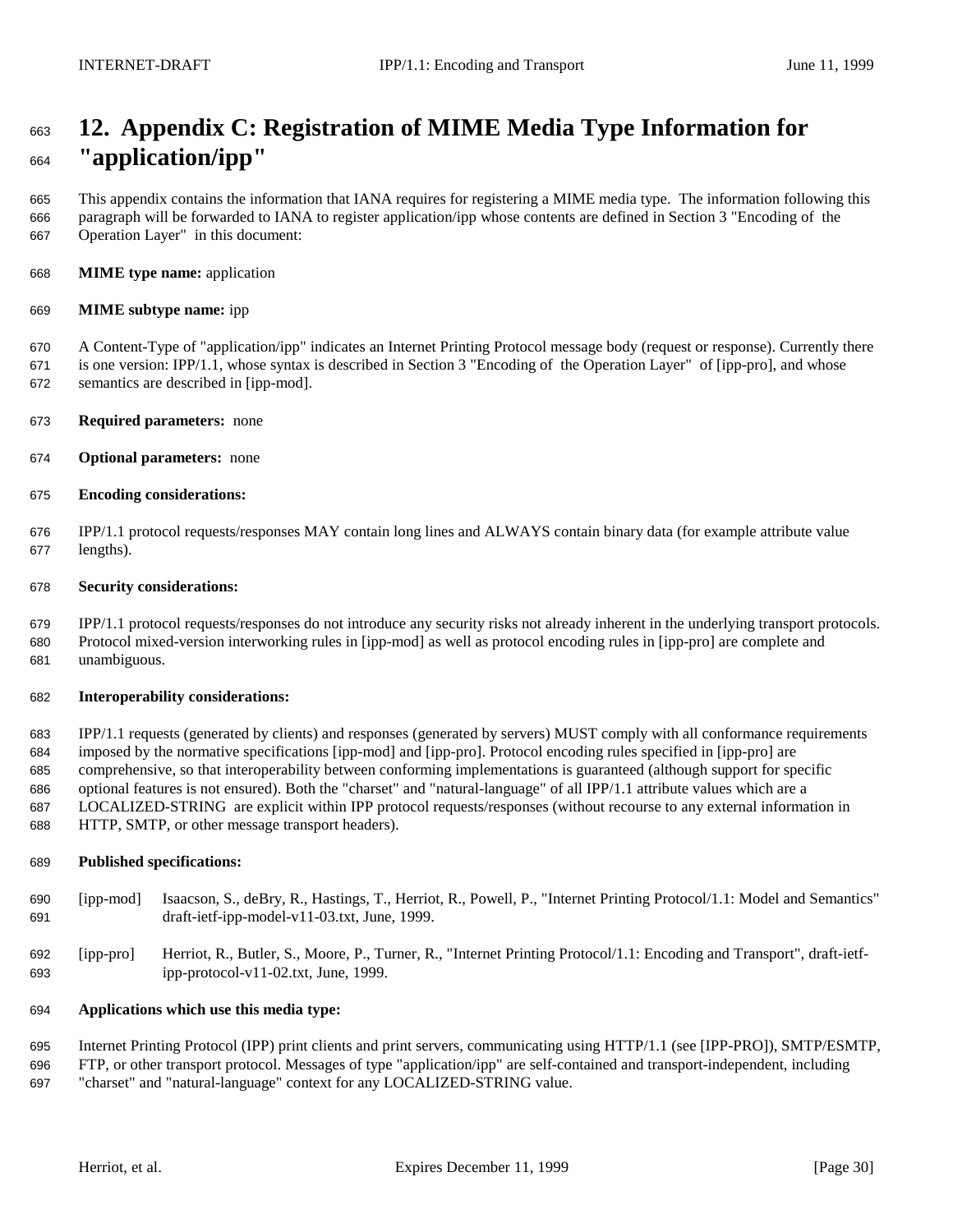# **12. Appendix C: Registration of MIME Media Type Information for "application/ipp"**

 This appendix contains the information that IANA requires for registering a MIME media type. The information following this paragraph will be forwarded to IANA to register application/ipp whose contents are defined in Section 3 "Encoding of the Operation Layer" in this document:

**MIME type name:** application

### **MIME subtype name:** ipp

 A Content-Type of "application/ipp" indicates an Internet Printing Protocol message body (request or response). Currently there is one version: IPP/1.1, whose syntax is described in Section 3 "Encoding of the Operation Layer" of [ipp-pro], and whose semantics are described in [ipp-mod].

- **Required parameters:** none
- **Optional parameters:** none
- **Encoding considerations:**

 IPP/1.1 protocol requests/responses MAY contain long lines and ALWAYS contain binary data (for example attribute value lengths).

### **Security considerations:**

 IPP/1.1 protocol requests/responses do not introduce any security risks not already inherent in the underlying transport protocols. Protocol mixed-version interworking rules in [ipp-mod] as well as protocol encoding rules in [ipp-pro] are complete and unambiguous.

#### **Interoperability considerations:**

 IPP/1.1 requests (generated by clients) and responses (generated by servers) MUST comply with all conformance requirements imposed by the normative specifications [ipp-mod] and [ipp-pro]. Protocol encoding rules specified in [ipp-pro] are comprehensive, so that interoperability between conforming implementations is guaranteed (although support for specific optional features is not ensured). Both the "charset" and "natural-language" of all IPP/1.1 attribute values which are a LOCALIZED-STRING are explicit within IPP protocol requests/responses (without recourse to any external information in HTTP, SMTP, or other message transport headers).

#### **Published specifications:**

- [ipp-mod] Isaacson, S., deBry, R., Hastings, T., Herriot, R., Powell, P., "Internet Printing Protocol/1.1: Model and Semantics" draft-ietf-ipp-model-v11-03.txt, June, 1999.
- [ipp-pro] Herriot, R., Butler, S., Moore, P., Turner, R., "Internet Printing Protocol/1.1: Encoding and Transport", draft-ietf-ipp-protocol-v11-02.txt, June, 1999.

## **Applications which use this media type:**

Internet Printing Protocol (IPP) print clients and print servers, communicating using HTTP/1.1 (see [IPP-PRO]), SMTP/ESMTP,

 FTP, or other transport protocol. Messages of type "application/ipp" are self-contained and transport-independent, including "charset" and "natural-language" context for any LOCALIZED-STRING value.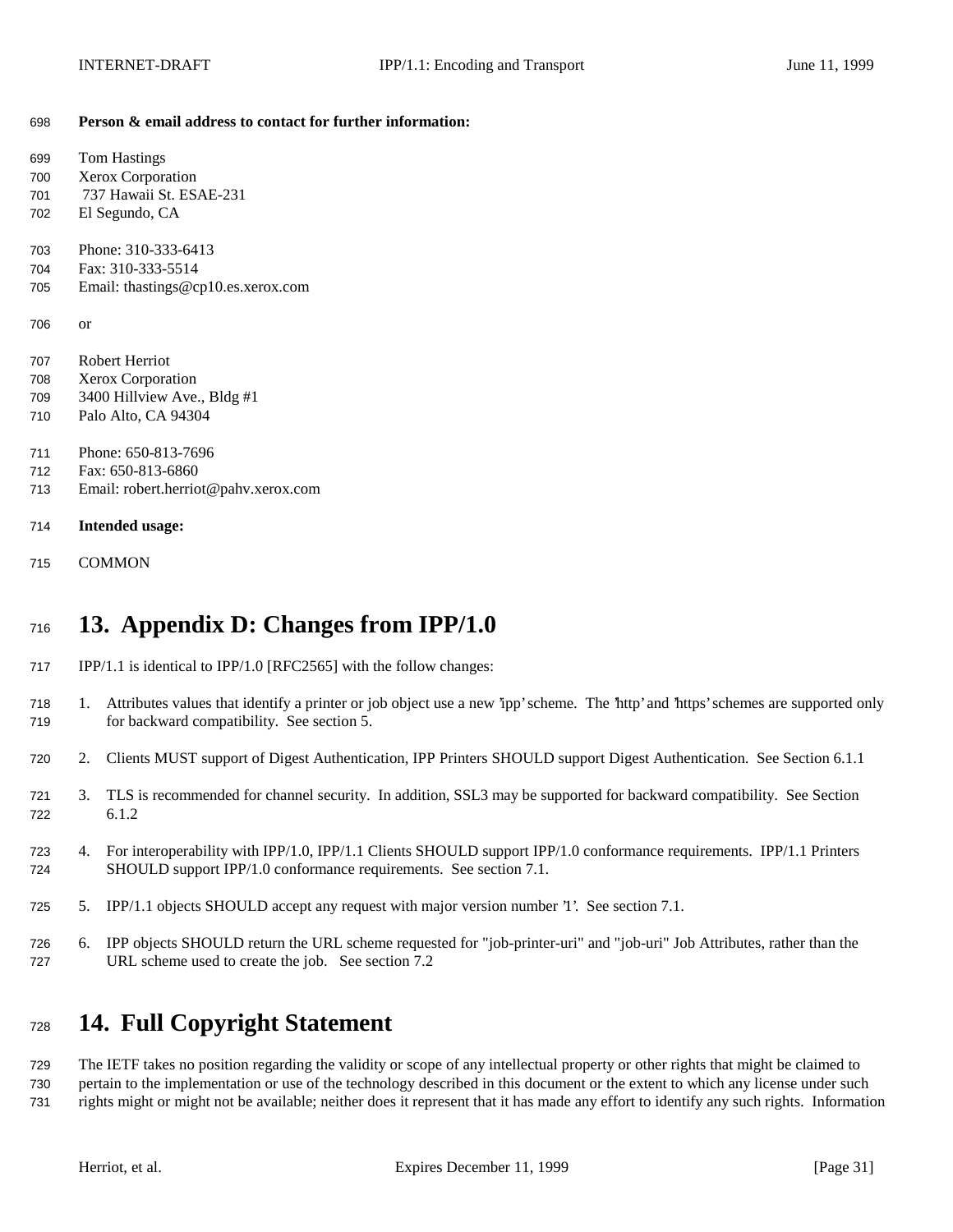**Person & email address to contact for further information:**

| 699<br>700 | <b>Tom Hastings</b><br>Xerox Corporation |
|------------|------------------------------------------|
| 701        | 737 Hawaii St. ESAE-231                  |
| 702        | El Segundo, CA                           |
|            |                                          |
| 703        | Phone: 310-333-6413                      |
| 704        | Fax: 310-333-5514                        |
| 705        | Email: thastings@cp10.es.xerox.com       |
|            |                                          |
| 706        | or                                       |
|            |                                          |
| 707        | <b>Robert Herriot</b>                    |
| 708        | <b>Xerox Corporation</b>                 |
| 709        | 3400 Hillview Ave., Bldg #1              |
| 710        | Palo Alto, CA 94304                      |
|            |                                          |
| 711        | Phone: 650-813-7696                      |
| 712        | Fax: 650-813-6860                        |
| 713        | Email: robert.herriot@pahv.xerox.com     |
|            |                                          |
| 714        | <b>Intended usage:</b>                   |
|            |                                          |
| 715        | COMMON                                   |
|            |                                          |

# **13. Appendix D: Changes from IPP/1.0**

- IPP/1.1 is identical to IPP/1.0 [RFC2565] with the follow changes:
- 1. Attributes values that identify a printer or job object use a new 'ipp' scheme. The 'http' and 'https' schemes are supported only for backward compatibility. See section 5.
- 2. Clients MUST support of Digest Authentication, IPP Printers SHOULD support Digest Authentication. See Section 6.1.1
- 3. TLS is recommended for channel security. In addition, SSL3 may be supported for backward compatibility. See Section 6.1.2
- 4. For interoperability with IPP/1.0, IPP/1.1 Clients SHOULD support IPP/1.0 conformance requirements. IPP/1.1 Printers SHOULD support IPP/1.0 conformance requirements. See section 7.1.
- 5. IPP/1.1 objects SHOULD accept any request with major version number '1'. See section 7.1.
- 6. IPP objects SHOULD return the URL scheme requested for "job-printer-uri" and "job-uri" Job Attributes, rather than the URL scheme used to create the job. See section 7.2

# **14. Full Copyright Statement**

 The IETF takes no position regarding the validity or scope of any intellectual property or other rights that might be claimed to pertain to the implementation or use of the technology described in this document or the extent to which any license under such rights might or might not be available; neither does it represent that it has made any effort to identify any such rights. Information